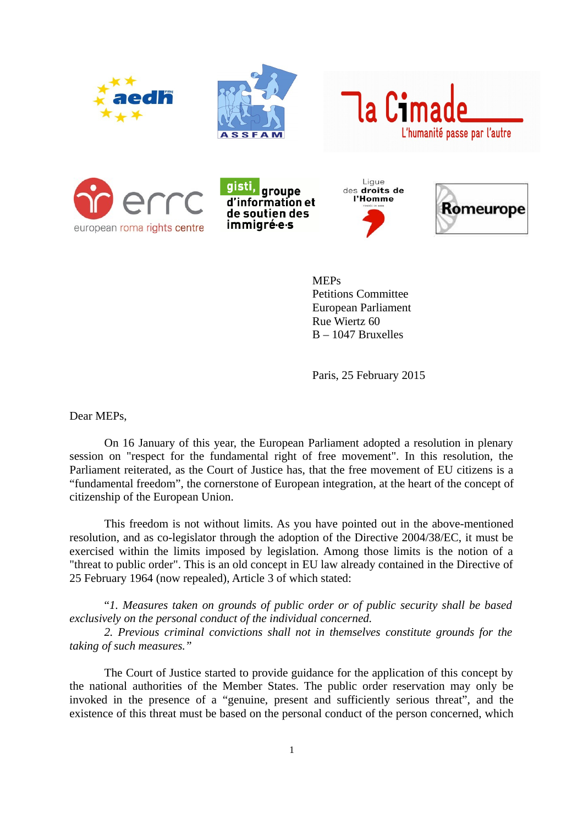













**MEPs** Petitions Committee European Parliament Rue Wiertz 60 B – 1047 Bruxelles

Paris, 25 February 2015

Dear MEPs,

On 16 January of this year, the European Parliament adopted a resolution in plenary session on "respect for the fundamental right of free movement". In this resolution, the Parliament reiterated, as the Court of Justice has, that the free movement of EU citizens is a "fundamental freedom", the cornerstone of European integration, at the heart of the concept of citizenship of the European Union.

This freedom is not without limits. As you have pointed out in the above-mentioned resolution, and as co-legislator through the adoption of the Directive 2004/38/EC, it must be exercised within the limits imposed by legislation. Among those limits is the notion of a "threat to public order". This is an old concept in EU law already contained in the Directive of 25 February 1964 (now repealed), Article 3 of which stated:

"*1. Measures taken on grounds of public order or of public security shall be based exclusively on the personal conduct of the individual concerned.*

*2. Previous criminal convictions shall not in themselves constitute grounds for the taking of such measures."*

The Court of Justice started to provide guidance for the application of this concept by the national authorities of the Member States. The public order reservation may only be invoked in the presence of a "genuine, present and sufficiently serious threat", and the existence of this threat must be based on the personal conduct of the person concerned, which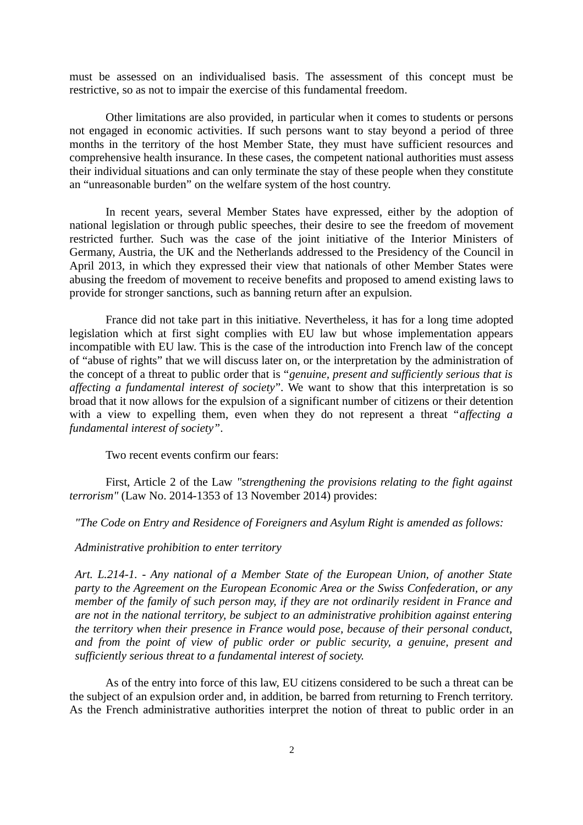must be assessed on an individualised basis. The assessment of this concept must be restrictive, so as not to impair the exercise of this fundamental freedom.

Other limitations are also provided, in particular when it comes to students or persons not engaged in economic activities. If such persons want to stay beyond a period of three months in the territory of the host Member State, they must have sufficient resources and comprehensive health insurance. In these cases, the competent national authorities must assess their individual situations and can only terminate the stay of these people when they constitute an "unreasonable burden" on the welfare system of the host country.

In recent years, several Member States have expressed, either by the adoption of national legislation or through public speeches, their desire to see the freedom of movement restricted further. Such was the case of the joint initiative of the Interior Ministers of Germany, Austria, the UK and the Netherlands addressed to the Presidency of the Council in April 2013, in which they expressed their view that nationals of other Member States were abusing the freedom of movement to receive benefits and proposed to amend existing laws to provide for stronger sanctions, such as banning return after an expulsion.

France did not take part in this initiative. Nevertheless, it has for a long time adopted legislation which at first sight complies with EU law but whose implementation appears incompatible with EU law. This is the case of the introduction into French law of the concept of "abuse of rights" that we will discuss later on, or the interpretation by the administration of the concept of a threat to public order that is "*genuine, present and sufficiently serious that is affecting a fundamental interest of society*". We want to show that this interpretation is so broad that it now allows for the expulsion of a significant number of citizens or their detention with a view to expelling them, even when they do not represent a threat "*affecting a fundamental interest of society"*.

Two recent events confirm our fears:

First, Article 2 of the Law *"strengthening the provisions relating to the fight against terrorism"* (Law No. 2014-1353 of 13 November 2014) provides:

*"The Code on Entry and Residence of Foreigners and Asylum Right is amended as follows:*

### *Administrative prohibition to enter territory*

*Art. L.214-1. - Any national of a Member State of the European Union, of another State party to the Agreement on the European Economic Area or the Swiss Confederation, or any member of the family of such person may, if they are not ordinarily resident in France and are not in the national territory, be subject to an administrative prohibition against entering the territory when their presence in France would pose, because of their personal conduct, and from the point of view of public order or public security, a genuine, present and sufficiently serious threat to a fundamental interest of society.* 

As of the entry into force of this law, EU citizens considered to be such a threat can be the subject of an expulsion order and, in addition, be barred from returning to French territory. As the French administrative authorities interpret the notion of threat to public order in an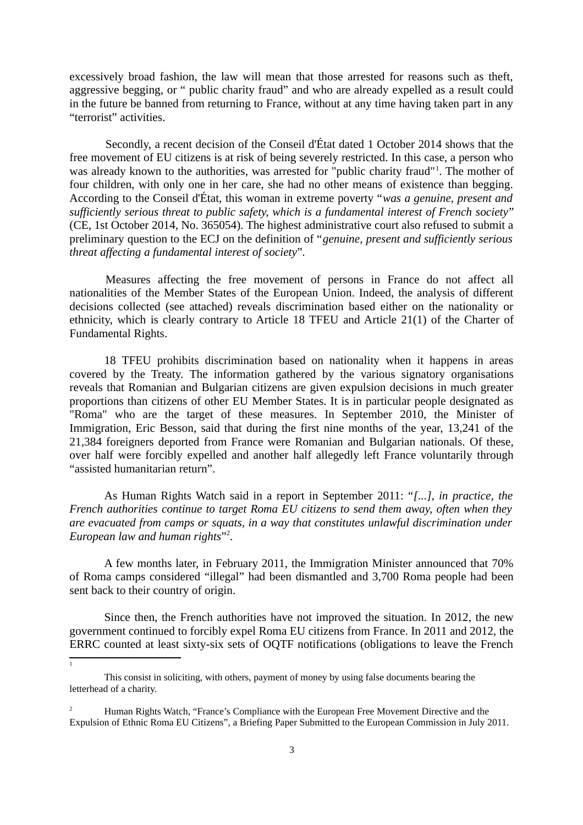excessively broad fashion, the law will mean that those arrested for reasons such as theft, aggressive begging, or " public charity fraud" and who are already expelled as a result could in the future be banned from returning to France, without at any time having taken part in any "terrorist" activities.

Secondly, a recent decision of the Conseil d'État dated 1 October 2014 shows that the free movement of EU citizens is at risk of being severely restricted. In this case, a person who was already known to the authorities, was arrested for "public charity fraud"<sup>[1](#page-2-0)</sup>. The mother of four children, with only one in her care, she had no other means of existence than begging. According to the Conseil d'État, this woman in extreme poverty "*was a genuine, present and sufficiently serious threat to public safety, which is a fundamental interest of French society*" (CE, 1st October 2014, No. 365054). The highest administrative court also refused to submit a preliminary question to the ECJ on the definition of "*genuine, present and sufficiently serious threat affecting a fundamental interest of society*"*.*

Measures affecting the free movement of persons in France do not affect all nationalities of the Member States of the European Union. Indeed, the analysis of different decisions collected (see attached) reveals discrimination based either on the nationality or ethnicity, which is clearly contrary to Article 18 TFEU and Article 21(1) of the Charter of Fundamental Rights.

18 TFEU prohibits discrimination based on nationality when it happens in areas covered by the Treaty. The information gathered by the various signatory organisations reveals that Romanian and Bulgarian citizens are given expulsion decisions in much greater proportions than citizens of other EU Member States. It is in particular people designated as "Roma" who are the target of these measures. In September 2010, the Minister of Immigration, Eric Besson, said that during the first nine months of the year, 13,241 of the 21,384 foreigners deported from France were Romanian and Bulgarian nationals. Of these, over half were forcibly expelled and another half allegedly left France voluntarily through "assisted humanitarian return".

As Human Rights Watch said in a report in September 2011: "*[...], in practice, the French authorities continue to target Roma EU citizens to send them away, often when they are evacuated from camps or squats, in a way that constitutes unlawful discrimination under European law and human rights*" [2](#page-2-1) .

A few months later, in February 2011, the Immigration Minister announced that 70% of Roma camps considered "illegal" had been dismantled and 3,700 Roma people had been sent back to their country of origin.

Since then, the French authorities have not improved the situation. In 2012, the new government continued to forcibly expel Roma EU citizens from France. In 2011 and 2012, the ERRC counted at least sixty-six sets of OQTF notifications (obligations to leave the French

<span id="page-2-0"></span> $\overline{1}$ 

This consist in soliciting, with others, payment of money by using false documents bearing the letterhead of a charity.

<span id="page-2-1"></span><sup>2</sup> Human Rights Watch, "France's Compliance with the European Free Movement Directive and the Expulsion of Ethnic Roma EU Citizens", a Briefing Paper Submitted to the European Commission in July 2011.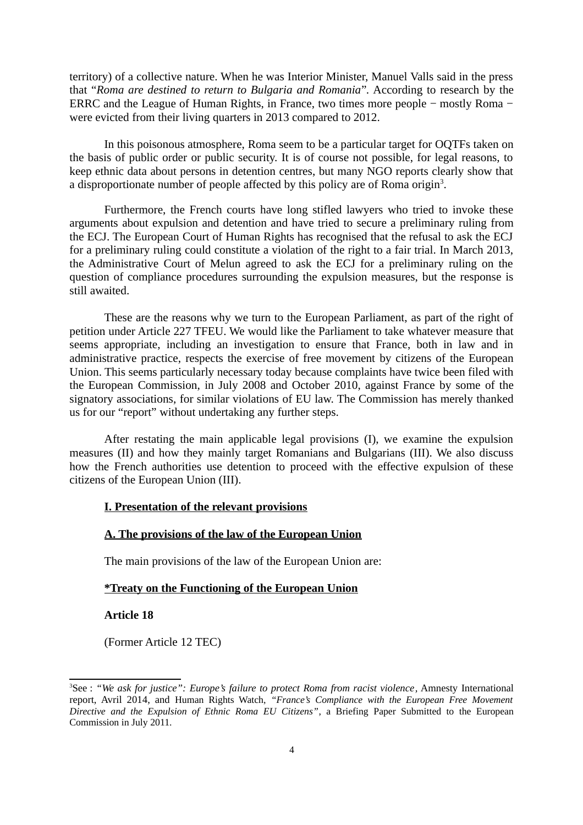territory) of a collective nature. When he was Interior Minister, Manuel Valls said in the press that "*Roma are destined to return to Bulgaria and Romania*"*.* According to research by the ERRC and the League of Human Rights, in France, two times more people − mostly Roma − were evicted from their living quarters in 2013 compared to 2012.

In this poisonous atmosphere, Roma seem to be a particular target for OQTFs taken on the basis of public order or public security. It is of course not possible, for legal reasons, to keep ethnic data about persons in detention centres, but many NGO reports clearly show that a disproportionate number of people affected by this policy are of Roma origin<sup>[3](#page-3-0)</sup>.

Furthermore, the French courts have long stifled lawyers who tried to invoke these arguments about expulsion and detention and have tried to secure a preliminary ruling from the ECJ. The European Court of Human Rights has recognised that the refusal to ask the ECJ for a preliminary ruling could constitute a violation of the right to a fair trial. In March 2013, the Administrative Court of Melun agreed to ask the ECJ for a preliminary ruling on the question of compliance procedures surrounding the expulsion measures, but the response is still awaited.

These are the reasons why we turn to the European Parliament, as part of the right of petition under Article 227 TFEU. We would like the Parliament to take whatever measure that seems appropriate, including an investigation to ensure that France, both in law and in administrative practice, respects the exercise of free movement by citizens of the European Union. This seems particularly necessary today because complaints have twice been filed with the European Commission, in July 2008 and October 2010, against France by some of the signatory associations, for similar violations of EU law. The Commission has merely thanked us for our "report" without undertaking any further steps.

After restating the main applicable legal provisions (I), we examine the expulsion measures (II) and how they mainly target Romanians and Bulgarians (III). We also discuss how the French authorities use detention to proceed with the effective expulsion of these citizens of the European Union (III).

### **I. Presentation of the relevant provisions**

#### **A. The provisions of the law of the European Union**

The main provisions of the law of the European Union are:

#### **\*Treaty on the Functioning of the European Union**

**Article 18**

(Former Article 12 TEC)

<span id="page-3-0"></span><sup>3</sup>See : *"We ask for justice": Europe's failure to protect Roma from racist violence,* Amnesty International report, Avril 2014, and Human Rights Watch, *"France's Compliance with the European Free Movement Directive and the Expulsion of Ethnic Roma EU Citizens"*, a Briefing Paper Submitted to the European Commission in July 2011.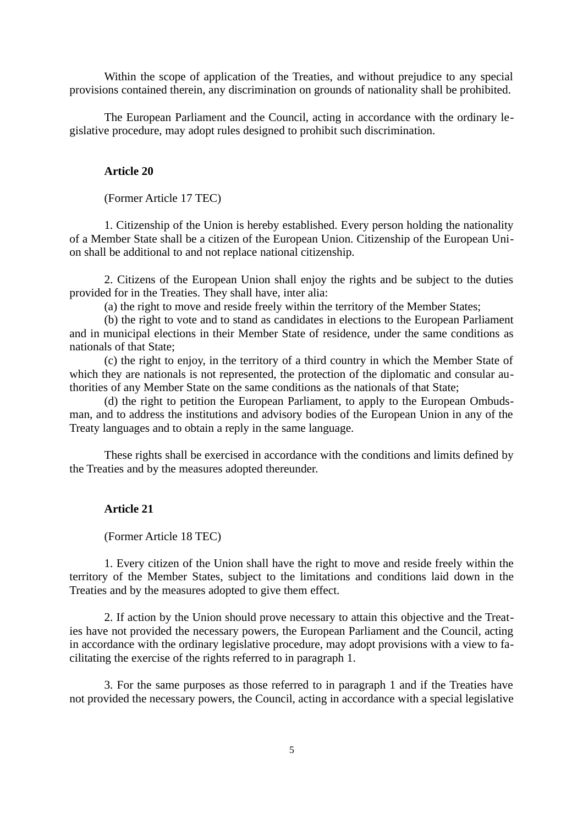Within the scope of application of the Treaties, and without prejudice to any special provisions contained therein, any discrimination on grounds of nationality shall be prohibited.

The European Parliament and the Council, acting in accordance with the ordinary legislative procedure, may adopt rules designed to prohibit such discrimination.

# **Article 20**

(Former Article 17 TEC)

1. Citizenship of the Union is hereby established. Every person holding the nationality of a Member State shall be a citizen of the European Union. Citizenship of the European Union shall be additional to and not replace national citizenship.

2. Citizens of the European Union shall enjoy the rights and be subject to the duties provided for in the Treaties. They shall have, inter alia:

(a) the right to move and reside freely within the territory of the Member States;

(b) the right to vote and to stand as candidates in elections to the European Parliament and in municipal elections in their Member State of residence, under the same conditions as nationals of that State;

(c) the right to enjoy, in the territory of a third country in which the Member State of which they are nationals is not represented, the protection of the diplomatic and consular authorities of any Member State on the same conditions as the nationals of that State;

(d) the right to petition the European Parliament, to apply to the European Ombudsman, and to address the institutions and advisory bodies of the European Union in any of the Treaty languages and to obtain a reply in the same language.

These rights shall be exercised in accordance with the conditions and limits defined by the Treaties and by the measures adopted thereunder.

# **Article 21**

(Former Article 18 TEC)

1. Every citizen of the Union shall have the right to move and reside freely within the territory of the Member States, subject to the limitations and conditions laid down in the Treaties and by the measures adopted to give them effect.

2. If action by the Union should prove necessary to attain this objective and the Treaties have not provided the necessary powers, the European Parliament and the Council, acting in accordance with the ordinary legislative procedure, may adopt provisions with a view to facilitating the exercise of the rights referred to in paragraph 1.

3. For the same purposes as those referred to in paragraph 1 and if the Treaties have not provided the necessary powers, the Council, acting in accordance with a special legislative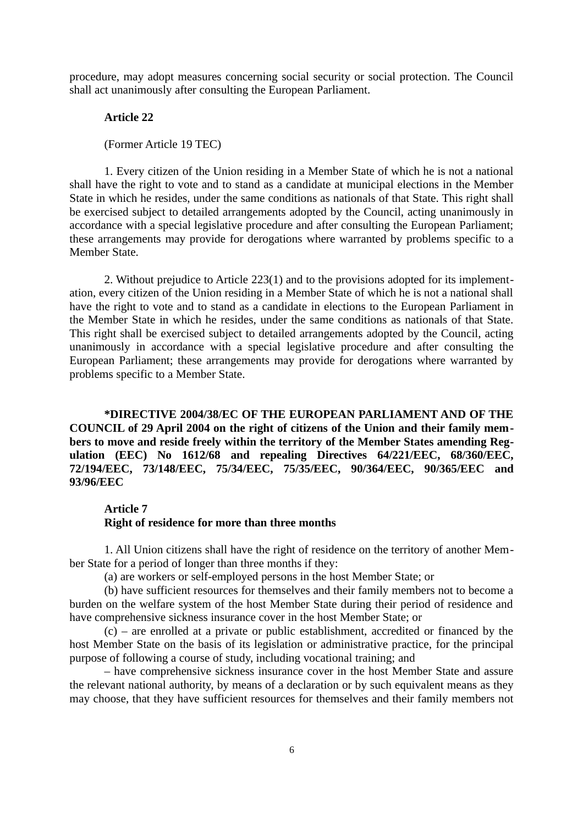procedure, may adopt measures concerning social security or social protection. The Council shall act unanimously after consulting the European Parliament.

### **Article 22**

#### (Former Article 19 TEC)

1. Every citizen of the Union residing in a Member State of which he is not a national shall have the right to vote and to stand as a candidate at municipal elections in the Member State in which he resides, under the same conditions as nationals of that State. This right shall be exercised subject to detailed arrangements adopted by the Council, acting unanimously in accordance with a special legislative procedure and after consulting the European Parliament; these arrangements may provide for derogations where warranted by problems specific to a Member State.

2. Without prejudice to Article 223(1) and to the provisions adopted for its implementation, every citizen of the Union residing in a Member State of which he is not a national shall have the right to vote and to stand as a candidate in elections to the European Parliament in the Member State in which he resides, under the same conditions as nationals of that State. This right shall be exercised subject to detailed arrangements adopted by the Council, acting unanimously in accordance with a special legislative procedure and after consulting the European Parliament; these arrangements may provide for derogations where warranted by problems specific to a Member State.

**\*DIRECTIVE 2004/38/EC OF THE EUROPEAN PARLIAMENT AND OF THE COUNCIL of 29 April 2004 on the right of citizens of the Union and their family members to move and reside freely within the territory of the Member States amending Regulation (EEC) No 1612/68 and repealing Directives 64/221/EEC, 68/360/EEC, 72/194/EEC, 73/148/EEC, 75/34/EEC, 75/35/EEC, 90/364/EEC, 90/365/EEC and 93/96/EEC**

#### **Article 7**

#### **Right of residence for more than three months**

1. All Union citizens shall have the right of residence on the territory of another Member State for a period of longer than three months if they:

(a) are workers or self-employed persons in the host Member State; or

(b) have sufficient resources for themselves and their family members not to become a burden on the welfare system of the host Member State during their period of residence and have comprehensive sickness insurance cover in the host Member State; or

(c) – are enrolled at a private or public establishment, accredited or financed by the host Member State on the basis of its legislation or administrative practice, for the principal purpose of following a course of study, including vocational training; and

– have comprehensive sickness insurance cover in the host Member State and assure the relevant national authority, by means of a declaration or by such equivalent means as they may choose, that they have sufficient resources for themselves and their family members not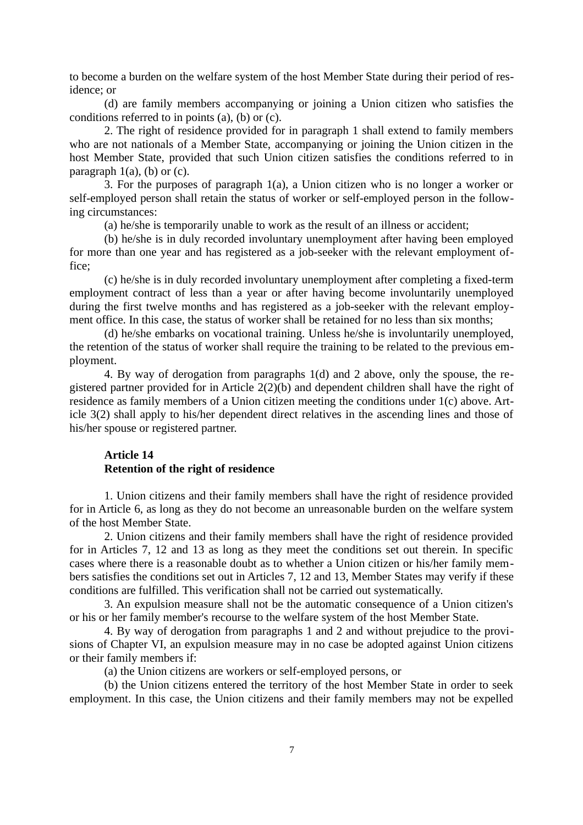to become a burden on the welfare system of the host Member State during their period of residence; or

(d) are family members accompanying or joining a Union citizen who satisfies the conditions referred to in points (a), (b) or (c).

2. The right of residence provided for in paragraph 1 shall extend to family members who are not nationals of a Member State, accompanying or joining the Union citizen in the host Member State, provided that such Union citizen satisfies the conditions referred to in paragraph  $1(a)$ , (b) or (c).

3. For the purposes of paragraph 1(a), a Union citizen who is no longer a worker or self-employed person shall retain the status of worker or self-employed person in the following circumstances:

(a) he/she is temporarily unable to work as the result of an illness or accident;

(b) he/she is in duly recorded involuntary unemployment after having been employed for more than one year and has registered as a job-seeker with the relevant employment office;

(c) he/she is in duly recorded involuntary unemployment after completing a fixed-term employment contract of less than a year or after having become involuntarily unemployed during the first twelve months and has registered as a job-seeker with the relevant employment office. In this case, the status of worker shall be retained for no less than six months;

(d) he/she embarks on vocational training. Unless he/she is involuntarily unemployed, the retention of the status of worker shall require the training to be related to the previous employment.

4. By way of derogation from paragraphs 1(d) and 2 above, only the spouse, the registered partner provided for in Article 2(2)(b) and dependent children shall have the right of residence as family members of a Union citizen meeting the conditions under 1(c) above. Article 3(2) shall apply to his/her dependent direct relatives in the ascending lines and those of his/her spouse or registered partner.

# **Article 14 Retention of the right of residence**

1. Union citizens and their family members shall have the right of residence provided for in Article 6, as long as they do not become an unreasonable burden on the welfare system of the host Member State.

2. Union citizens and their family members shall have the right of residence provided for in Articles 7, 12 and 13 as long as they meet the conditions set out therein. In specific cases where there is a reasonable doubt as to whether a Union citizen or his/her family members satisfies the conditions set out in Articles 7, 12 and 13, Member States may verify if these conditions are fulfilled. This verification shall not be carried out systematically.

3. An expulsion measure shall not be the automatic consequence of a Union citizen's or his or her family member's recourse to the welfare system of the host Member State.

4. By way of derogation from paragraphs 1 and 2 and without prejudice to the provisions of Chapter VI, an expulsion measure may in no case be adopted against Union citizens or their family members if:

(a) the Union citizens are workers or self-employed persons, or

(b) the Union citizens entered the territory of the host Member State in order to seek employment. In this case, the Union citizens and their family members may not be expelled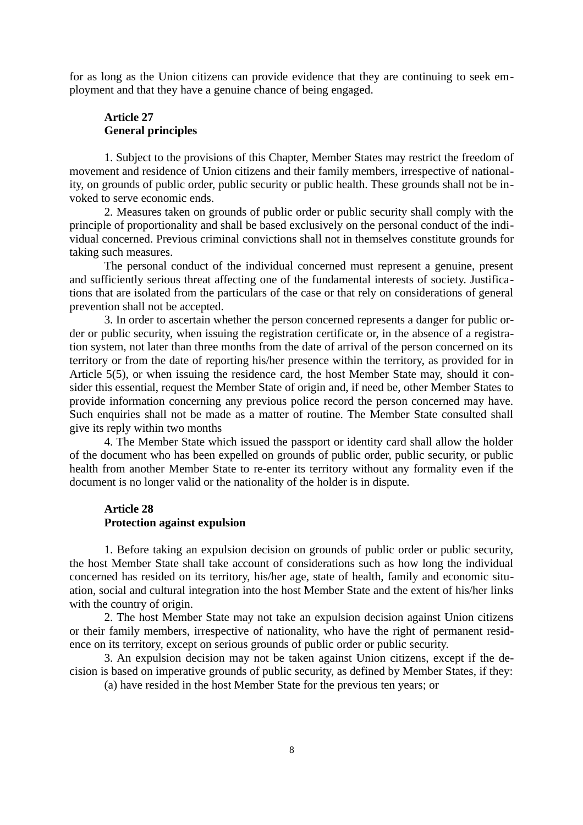for as long as the Union citizens can provide evidence that they are continuing to seek employment and that they have a genuine chance of being engaged.

# **Article 27 General principles**

1. Subject to the provisions of this Chapter, Member States may restrict the freedom of movement and residence of Union citizens and their family members, irrespective of nationality, on grounds of public order, public security or public health. These grounds shall not be invoked to serve economic ends.

2. Measures taken on grounds of public order or public security shall comply with the principle of proportionality and shall be based exclusively on the personal conduct of the individual concerned. Previous criminal convictions shall not in themselves constitute grounds for taking such measures.

The personal conduct of the individual concerned must represent a genuine, present and sufficiently serious threat affecting one of the fundamental interests of society. Justifications that are isolated from the particulars of the case or that rely on considerations of general prevention shall not be accepted.

3. In order to ascertain whether the person concerned represents a danger for public order or public security, when issuing the registration certificate or, in the absence of a registration system, not later than three months from the date of arrival of the person concerned on its territory or from the date of reporting his/her presence within the territory, as provided for in Article 5(5), or when issuing the residence card, the host Member State may, should it consider this essential, request the Member State of origin and, if need be, other Member States to provide information concerning any previous police record the person concerned may have. Such enquiries shall not be made as a matter of routine. The Member State consulted shall give its reply within two months

4. The Member State which issued the passport or identity card shall allow the holder of the document who has been expelled on grounds of public order, public security, or public health from another Member State to re-enter its territory without any formality even if the document is no longer valid or the nationality of the holder is in dispute.

# **Article 28 Protection against expulsion**

1. Before taking an expulsion decision on grounds of public order or public security, the host Member State shall take account of considerations such as how long the individual concerned has resided on its territory, his/her age, state of health, family and economic situation, social and cultural integration into the host Member State and the extent of his/her links with the country of origin.

2. The host Member State may not take an expulsion decision against Union citizens or their family members, irrespective of nationality, who have the right of permanent residence on its territory, except on serious grounds of public order or public security.

3. An expulsion decision may not be taken against Union citizens, except if the decision is based on imperative grounds of public security, as defined by Member States, if they:

(a) have resided in the host Member State for the previous ten years; or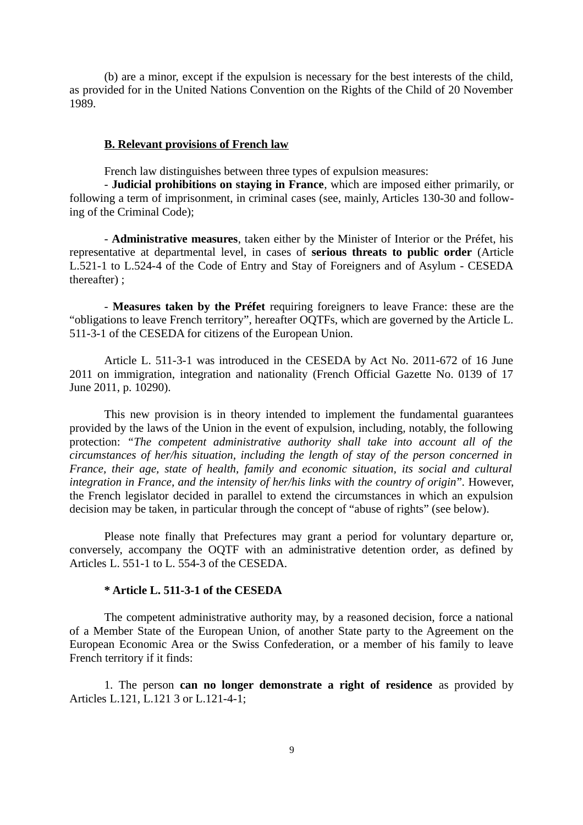(b) are a minor, except if the expulsion is necessary for the best interests of the child, as provided for in the United Nations Convention on the Rights of the Child of 20 November 1989.

# **B. Relevant provisions of French law**

French law distinguishes between three types of expulsion measures:

- **Judicial prohibitions on staying in France**, which are imposed either primarily, or following a term of imprisonment, in criminal cases (see, mainly, Articles 130-30 and following of the Criminal Code);

- **Administrative measures**, taken either by the Minister of Interior or the Préfet, his representative at departmental level, in cases of **serious threats to public order** (Article L.521-1 to L.524-4 of the Code of Entry and Stay of Foreigners and of Asylum - CESEDA thereafter) ;

- **Measures taken by the Préfet** requiring foreigners to leave France: these are the "obligations to leave French territory", hereafter OQTFs, which are governed by the Article L. 511-3-1 of the CESEDA for citizens of the European Union.

Article L. 511-3-1 was introduced in the CESEDA by Act No. 2011-672 of 16 June 2011 on immigration, integration and nationality (French Official Gazette No. 0139 of 17 June 2011, p. 10290).

This new provision is in theory intended to implement the fundamental guarantees provided by the laws of the Union in the event of expulsion, including, notably, the following protection: *"The competent administrative authority shall take into account all of the circumstances of her/his situation, including the length of stay of the person concerned in France, their age, state of health, family and economic situation, its social and cultural integration in France, and the intensity of her/his links with the country of origin*"*.* However, the French legislator decided in parallel to extend the circumstances in which an expulsion decision may be taken, in particular through the concept of "abuse of rights" (see below).

Please note finally that Prefectures may grant a period for voluntary departure or, conversely, accompany the OQTF with an administrative detention order, as defined by Articles L. 551-1 to L. 554-3 of the CESEDA.

# **\* Article L. 511-3-1 of the CESEDA**

The competent administrative authority may, by a reasoned decision, force a national of a Member State of the European Union, of another State party to the Agreement on the European Economic Area or the Swiss Confederation, or a member of his family to leave French territory if it finds:

1. The person **can no longer demonstrate a right of residence** as provided by Articles L.121, L.121 3 or L.121-4-1;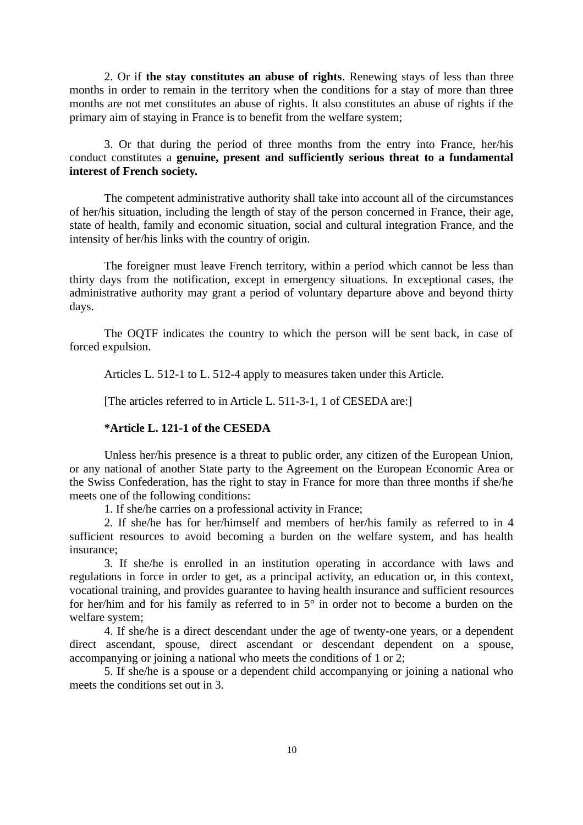2. Or if **the stay constitutes an abuse of rights**. Renewing stays of less than three months in order to remain in the territory when the conditions for a stay of more than three months are not met constitutes an abuse of rights. It also constitutes an abuse of rights if the primary aim of staying in France is to benefit from the welfare system;

3. Or that during the period of three months from the entry into France, her/his conduct constitutes a **genuine, present and sufficiently serious threat to a fundamental interest of French society.**

The competent administrative authority shall take into account all of the circumstances of her/his situation, including the length of stay of the person concerned in France, their age, state of health, family and economic situation, social and cultural integration France, and the intensity of her/his links with the country of origin.

The foreigner must leave French territory, within a period which cannot be less than thirty days from the notification, except in emergency situations. In exceptional cases, the administrative authority may grant a period of voluntary departure above and beyond thirty days.

The OQTF indicates the country to which the person will be sent back, in case of forced expulsion.

Articles L. 512-1 to L. 512-4 apply to measures taken under this Article.

[The articles referred to in Article L. 511-3-1, 1 of CESEDA are:]

# **\*Article L. 121-1 of the CESEDA**

Unless her/his presence is a threat to public order, any citizen of the European Union, or any national of another State party to the Agreement on the European Economic Area or the Swiss Confederation, has the right to stay in France for more than three months if she/he meets one of the following conditions:

1. If she/he carries on a professional activity in France;

2. If she/he has for her/himself and members of her/his family as referred to in 4 sufficient resources to avoid becoming a burden on the welfare system, and has health insurance;

3. If she/he is enrolled in an institution operating in accordance with laws and regulations in force in order to get, as a principal activity, an education or, in this context, vocational training, and provides guarantee to having health insurance and sufficient resources for her/him and for his family as referred to in 5° in order not to become a burden on the welfare system;

4. If she/he is a direct descendant under the age of twenty-one years, or a dependent direct ascendant, spouse, direct ascendant or descendant dependent on a spouse, accompanying or joining a national who meets the conditions of 1 or 2;

5. If she/he is a spouse or a dependent child accompanying or joining a national who meets the conditions set out in 3.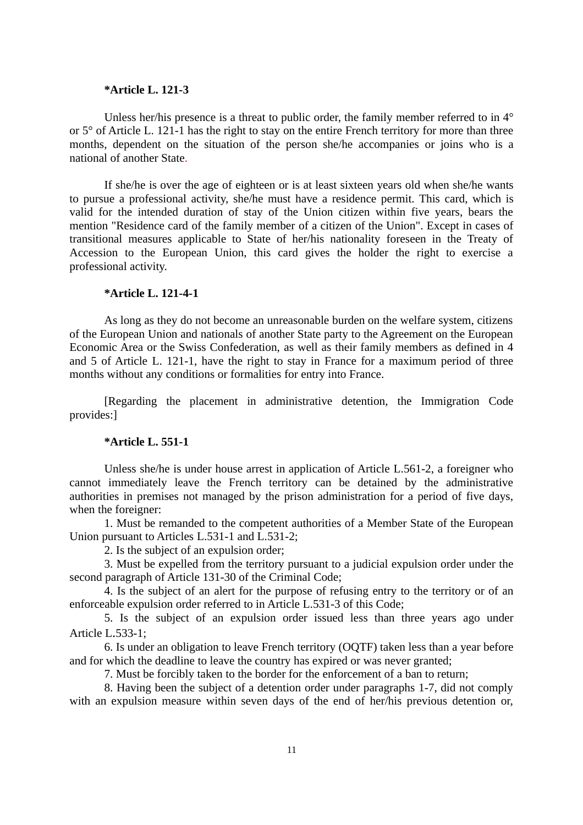### **\*Article L. 121-3**

Unless her/his presence is a threat to public order, the family member referred to in  $4^{\circ}$ or 5° of Article L. 121-1 has the right to stay on the entire French territory for more than three months, dependent on the situation of the person she/he accompanies or joins who is a national of another State.

If she/he is over the age of eighteen or is at least sixteen years old when she/he wants to pursue a professional activity, she/he must have a residence permit. This card, which is valid for the intended duration of stay of the Union citizen within five years, bears the mention "Residence card of the family member of a citizen of the Union". Except in cases of transitional measures applicable to State of her/his nationality foreseen in the Treaty of Accession to the European Union, this card gives the holder the right to exercise a professional activity.

### **\*Article L. 121-4-1**

As long as they do not become an unreasonable burden on the welfare system, citizens of the European Union and nationals of another State party to the Agreement on the European Economic Area or the Swiss Confederation, as well as their family members as defined in 4 and 5 of Article L. 121-1, have the right to stay in France for a maximum period of three months without any conditions or formalities for entry into France.

[Regarding the placement in administrative detention, the Immigration Code provides:]

#### **\*Article L. 551-1**

Unless she/he is under house arrest in application of Article L.561-2, a foreigner who cannot immediately leave the French territory can be detained by the administrative authorities in premises not managed by the prison administration for a period of five days, when the foreigner:

1. Must be remanded to the competent authorities of a Member State of the European Union pursuant to Articles L.531-1 and L.531-2;

2. Is the subject of an expulsion order;

3. Must be expelled from the territory pursuant to a judicial expulsion order under the second paragraph of Article 131-30 of the Criminal Code;

4. Is the subject of an alert for the purpose of refusing entry to the territory or of an enforceable expulsion order referred to in Article L.531-3 of this Code;

5. Is the subject of an expulsion order issued less than three years ago under Article L.533-1;

6. Is under an obligation to leave French territory (OQTF) taken less than a year before and for which the deadline to leave the country has expired or was never granted;

7. Must be forcibly taken to the border for the enforcement of a ban to return;

8. Having been the subject of a detention order under paragraphs 1-7, did not comply with an expulsion measure within seven days of the end of her/his previous detention or,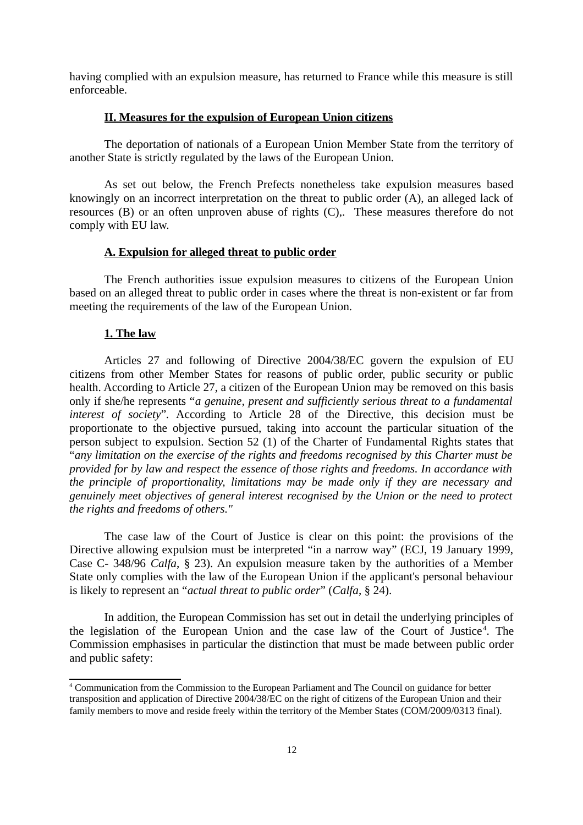having complied with an expulsion measure, has returned to France while this measure is still enforceable.

## **II. Measures for the expulsion of European Union citizens**

The deportation of nationals of a European Union Member State from the territory of another State is strictly regulated by the laws of the European Union.

As set out below, the French Prefects nonetheless take expulsion measures based knowingly on an incorrect interpretation on the threat to public order (A), an alleged lack of resources (B) or an often unproven abuse of rights (C),. These measures therefore do not comply with EU law.

# **A. Expulsion for alleged threat to public order**

The French authorities issue expulsion measures to citizens of the European Union based on an alleged threat to public order in cases where the threat is non-existent or far from meeting the requirements of the law of the European Union.

## **1. The law**

Articles 27 and following of Directive 2004/38/EC govern the expulsion of EU citizens from other Member States for reasons of public order, public security or public health. According to Article 27, a citizen of the European Union may be removed on this basis only if she/he represents "*a genuine, present and sufficiently serious threat to a fundamental interest of society*"*.* According to Article 28 of the Directive, this decision must be proportionate to the objective pursued, taking into account the particular situation of the person subject to expulsion. Section 52 (1) of the Charter of Fundamental Rights states that "*any limitation on the exercise of the rights and freedoms recognised by this Charter must be provided for by law and respect the essence of those rights and freedoms. In accordance with the principle of proportionality, limitations may be made only if they are necessary and genuinely meet objectives of general interest recognised by the Union or the need to protect the rights and freedoms of others."*

The case law of the Court of Justice is clear on this point: the provisions of the Directive allowing expulsion must be interpreted "in a narrow way" (ECJ, 19 January 1999, Case C- 348/96 *Calfa*, § 23). An expulsion measure taken by the authorities of a Member State only complies with the law of the European Union if the applicant's personal behaviour is likely to represent an "*actual threat to public order*" (*Calfa*, § 24).

In addition, the European Commission has set out in detail the underlying principles of the legislation of the European Union and the case law of the Court of Justice<sup>[4](#page-11-0)</sup>. The Commission emphasises in particular the distinction that must be made between public order and public safety:

<span id="page-11-0"></span><sup>4</sup> Communication from the Commission to the European Parliament and The Council on guidance for better transposition and application of Directive 2004/38/EC on the right of citizens of the European Union and their family members to move and reside freely within the territory of the Member States (COM/2009/0313 final).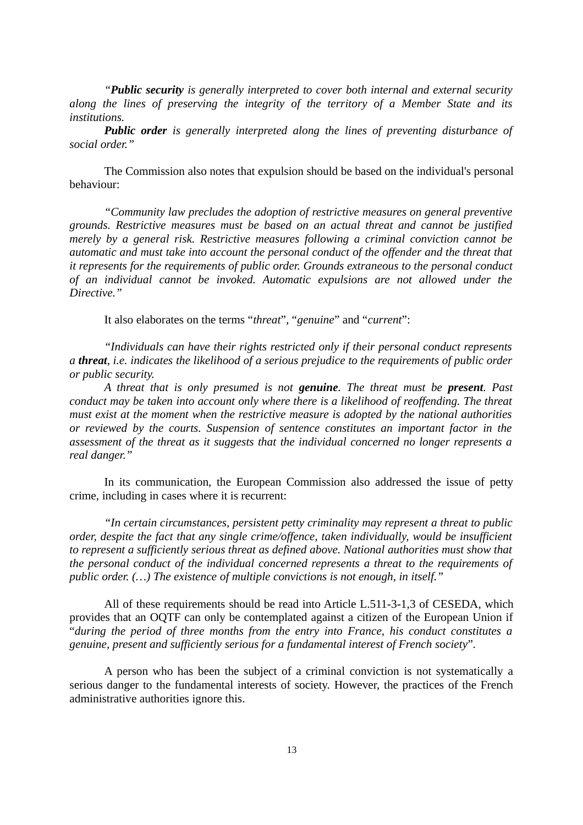*"Public security is generally interpreted to cover both internal and external security along the lines of preserving the integrity of the territory of a Member State and its institutions.* 

*Public order is generally interpreted along the lines of preventing disturbance of social order."*

The Commission also notes that expulsion should be based on the individual's personal behaviour:

*"Community law precludes the adoption of restrictive measures on general preventive grounds. Restrictive measures must be based on an actual threat and cannot be justified merely by a general risk. Restrictive measures following a criminal conviction cannot be automatic and must take into account the personal conduct of the offender and the threat that it represents for the requirements of public order. Grounds extraneous to the personal conduct of an individual cannot be invoked. Automatic expulsions are not allowed under the Directive."*

It also elaborates on the terms "*threat*"*,* "*genuine*" and "*current*":

*"Individuals can have their rights restricted only if their personal conduct represents a threat, i.e. indicates the likelihood of a serious prejudice to the requirements of public order or public security.*

*A threat that is only presumed is not genuine. The threat must be present. Past conduct may be taken into account only where there is a likelihood of reoffending. The threat must exist at the moment when the restrictive measure is adopted by the national authorities or reviewed by the courts. Suspension of sentence constitutes an important factor in the assessment of the threat as it suggests that the individual concerned no longer represents a real danger."*

In its communication, the European Commission also addressed the issue of petty crime, including in cases where it is recurrent:

*"In certain circumstances, persistent petty criminality may represent a threat to public order, despite the fact that any single crime/offence, taken individually, would be insufficient to represent a sufficiently serious threat as defined above. National authorities must show that the personal conduct of the individual concerned represents a threat to the requirements of public order. (…) The existence of multiple convictions is not enough, in itself."*

All of these requirements should be read into Article L.511-3-1,3 of CESEDA, which provides that an OQTF can only be contemplated against a citizen of the European Union if "*during the period of three months from the entry into France, his conduct constitutes a genuine, present and sufficiently serious for a fundamental interest of French society*"*.*

A person who has been the subject of a criminal conviction is not systematically a serious danger to the fundamental interests of society. However, the practices of the French administrative authorities ignore this.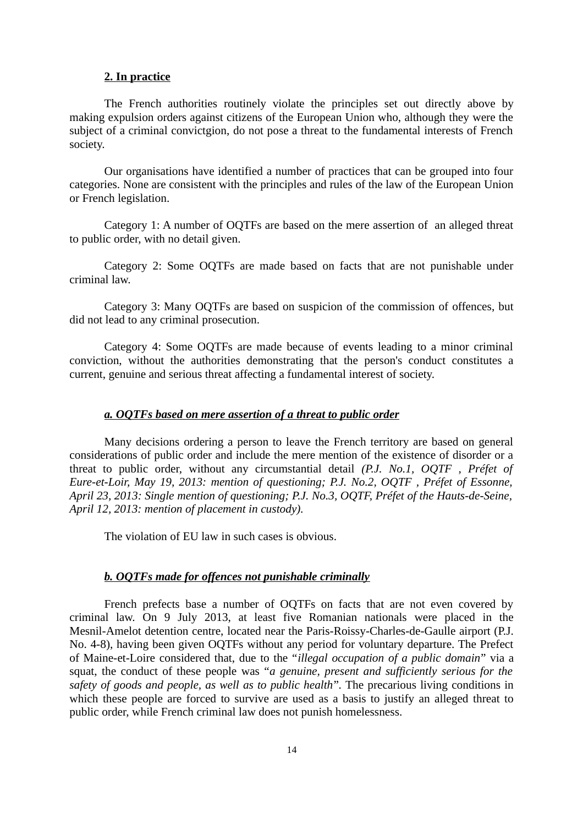## **2. In practice**

The French authorities routinely violate the principles set out directly above by making expulsion orders against citizens of the European Union who, although they were the subject of a criminal convictgion, do not pose a threat to the fundamental interests of French society.

Our organisations have identified a number of practices that can be grouped into four categories. None are consistent with the principles and rules of the law of the European Union or French legislation.

Category 1: A number of OQTFs are based on the mere assertion of an alleged threat to public order, with no detail given.

Category 2: Some OQTFs are made based on facts that are not punishable under criminal law.

Category 3: Many OQTFs are based on suspicion of the commission of offences, but did not lead to any criminal prosecution.

Category 4: Some OQTFs are made because of events leading to a minor criminal conviction, without the authorities demonstrating that the person's conduct constitutes a current, genuine and serious threat affecting a fundamental interest of society.

### *a. OQTFs based on mere assertion of a threat to public order*

Many decisions ordering a person to leave the French territory are based on general considerations of public order and include the mere mention of the existence of disorder or a threat to public order, without any circumstantial detail *(P.J. No.1, OQTF , Préfet of Eure-et-Loir, May 19, 2013: mention of questioning; P.J. No.2, OQTF , Préfet of Essonne, April 23, 2013: Single mention of questioning; P.J. No.3, OQTF, Préfet of the Hauts-de-Seine, April 12, 2013: mention of placement in custody).*

The violation of EU law in such cases is obvious.

### *b. OQTFs made for offences not punishable criminally*

French prefects base a number of OQTFs on facts that are not even covered by criminal law. On 9 July 2013, at least five Romanian nationals were placed in the Mesnil-Amelot detention centre, located near the Paris-Roissy-Charles-de-Gaulle airport (P.J. No. 4-8), having been given OQTFs without any period for voluntary departure. The Prefect of Maine-et-Loire considered that, due to the "*illegal occupation of a public domain*" via a squat, the conduct of these people was "*a genuine, present and sufficiently serious for the safety of goods and people, as well as to public health*"*.* The precarious living conditions in which these people are forced to survive are used as a basis to justify an alleged threat to public order, while French criminal law does not punish homelessness.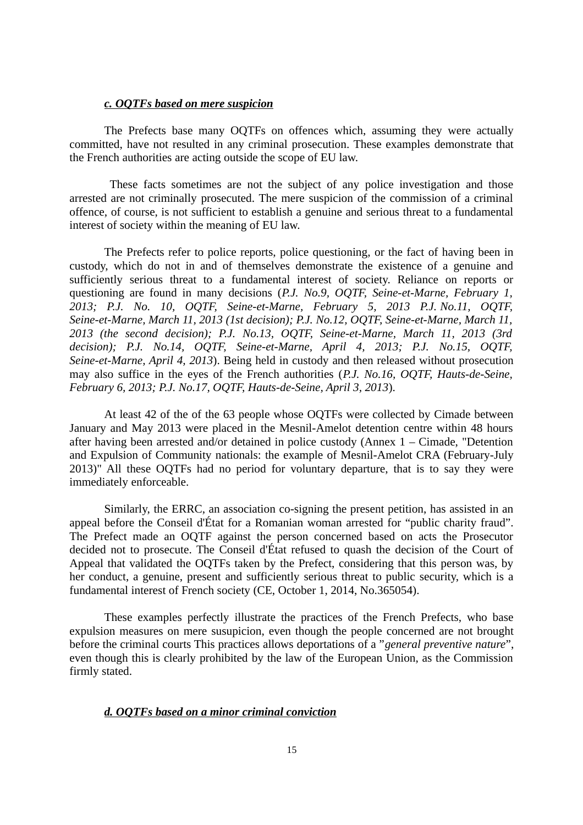### *c. OQTFs based on mere suspicion*

The Prefects base many OQTFs on offences which, assuming they were actually committed, have not resulted in any criminal prosecution. These examples demonstrate that the French authorities are acting outside the scope of EU law.

 These facts sometimes are not the subject of any police investigation and those arrested are not criminally prosecuted. The mere suspicion of the commission of a criminal offence, of course, is not sufficient to establish a genuine and serious threat to a fundamental interest of society within the meaning of EU law.

The Prefects refer to police reports, police questioning, or the fact of having been in custody, which do not in and of themselves demonstrate the existence of a genuine and sufficiently serious threat to a fundamental interest of society. Reliance on reports or questioning are found in many decisions (*P.J. No.9, OQTF, Seine-et-Marne, February 1, 2013; P.J. No. 10, OQTF, Seine-et-Marne, February 5, 2013 P.J. No.11, OQTF, Seine-et-Marne, March 11, 2013 (1st decision); P.J. No.12, OQTF, Seine-et-Marne, March 11, 2013 (the second decision); P.J. No.13, OQTF, Seine-et-Marne, March 11, 2013 (3rd decision); P.J. No.14, OQTF, Seine-et-Marne, April 4, 2013; P.J. No.15, OQTF, Seine-et-Marne, April 4, 2013*). Being held in custody and then released without prosecution may also suffice in the eyes of the French authorities (*P.J. No.16, OQTF, Hauts-de-Seine, February 6, 2013; P.J. No.17, OQTF, Hauts-de-Seine, April 3, 2013*).

At least 42 of the of the 63 people whose OQTFs were collected by Cimade between January and May 2013 were placed in the Mesnil-Amelot detention centre within 48 hours after having been arrested and/or detained in police custody (Annex  $1 -$ Cimade, "Detention and Expulsion of Community nationals: the example of Mesnil-Amelot CRA (February-July 2013)" All these OQTFs had no period for voluntary departure, that is to say they were immediately enforceable.

Similarly, the ERRC, an association co-signing the present petition, has assisted in an appeal before the Conseil d'État for a Romanian woman arrested for "public charity fraud". The Prefect made an OQTF against the person concerned based on acts the Prosecutor decided not to prosecute. The Conseil d'État refused to quash the decision of the Court of Appeal that validated the OQTFs taken by the Prefect, considering that this person was, by her conduct, a genuine, present and sufficiently serious threat to public security, which is a fundamental interest of French society (CE, October 1, 2014, No.365054).

These examples perfectly illustrate the practices of the French Prefects, who base expulsion measures on mere susupicion, even though the people concerned are not brought before the criminal courts This practices allows deportations of a "*general preventive nature*", even though this is clearly prohibited by the law of the European Union, as the Commission firmly stated.

# *d. OQTFs based on a minor criminal conviction*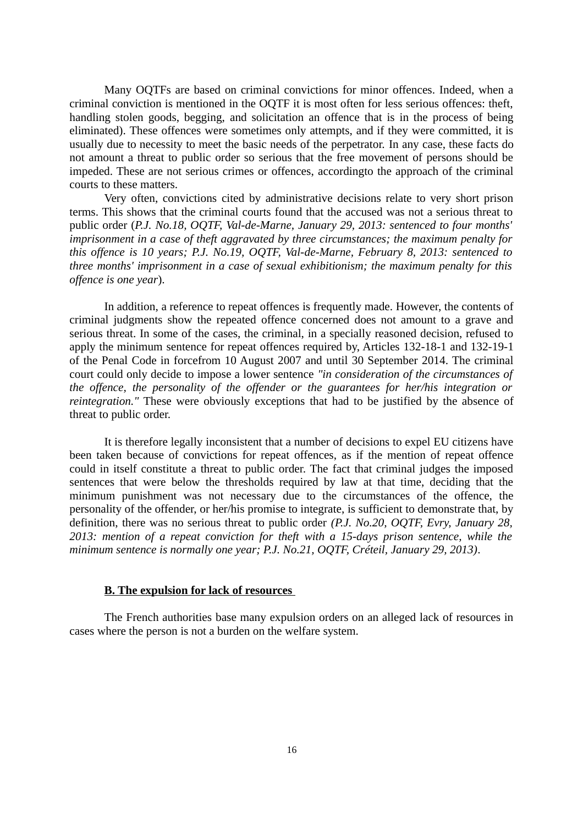Many OQTFs are based on criminal convictions for minor offences. Indeed, when a criminal conviction is mentioned in the OQTF it is most often for less serious offences: theft, handling stolen goods, begging, and solicitation an offence that is in the process of being eliminated). These offences were sometimes only attempts, and if they were committed, it is usually due to necessity to meet the basic needs of the perpetrator. In any case, these facts do not amount a threat to public order so serious that the free movement of persons should be impeded. These are not serious crimes or offences, accordingto the approach of the criminal courts to these matters.

Very often, convictions cited by administrative decisions relate to very short prison terms. This shows that the criminal courts found that the accused was not a serious threat to public order (*P.J. No.18, OQTF, Val-de-Marne, January 29, 2013: sentenced to four months' imprisonment in a case of theft aggravated by three circumstances; the maximum penalty for this offence is 10 years; P.J. No.19, OQTF, Val-de-Marne, February 8, 2013: sentenced to three months' imprisonment in a case of sexual exhibitionism; the maximum penalty for this offence is one year*).

In addition, a reference to repeat offences is frequently made. However, the contents of criminal judgments show the repeated offence concerned does not amount to a grave and serious threat. In some of the cases, the criminal, in a specially reasoned decision, refused to apply the minimum sentence for repeat offences required by, Articles 132-18-1 and 132-19-1 of the Penal Code in forcefrom 10 August 2007 and until 30 September 2014. The criminal court could only decide to impose a lower sentence *"in consideration of the circumstances of the offence, the personality of the offender or the guarantees for her/his integration or reintegration."* These were obviously exceptions that had to be justified by the absence of threat to public order.

It is therefore legally inconsistent that a number of decisions to expel EU citizens have been taken because of convictions for repeat offences, as if the mention of repeat offence could in itself constitute a threat to public order. The fact that criminal judges the imposed sentences that were below the thresholds required by law at that time, deciding that the minimum punishment was not necessary due to the circumstances of the offence, the personality of the offender, or her/his promise to integrate, is sufficient to demonstrate that, by definition, there was no serious threat to public order *(P.J. No.20, OQTF, Evry, January 28, 2013: mention of a repeat conviction for theft with a 15-days prison sentence, while the minimum sentence is normally one year; P.J. No.21, OQTF, Créteil, January 29, 2013)*.

### **B. The expulsion for lack of resources**

The French authorities base many expulsion orders on an alleged lack of resources in cases where the person is not a burden on the welfare system.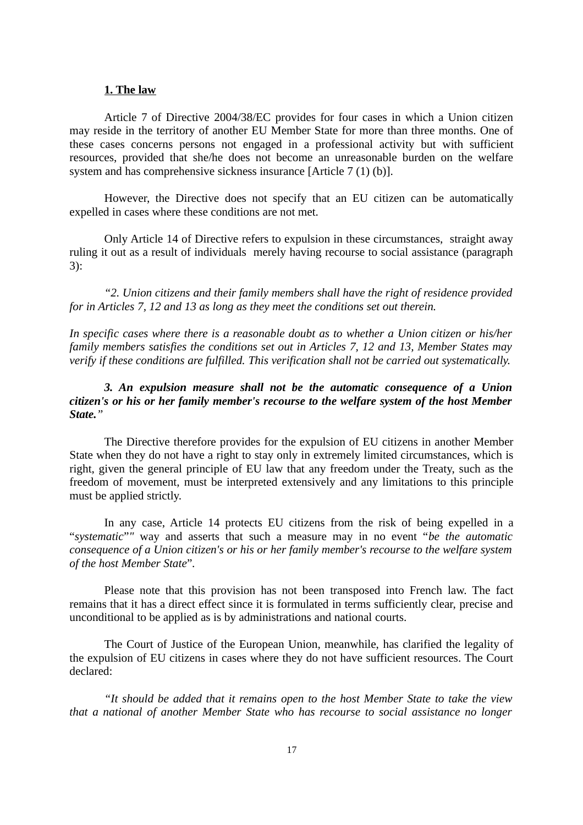## **1. The law**

Article 7 of Directive 2004/38/EC provides for four cases in which a Union citizen may reside in the territory of another EU Member State for more than three months. One of these cases concerns persons not engaged in a professional activity but with sufficient resources, provided that she/he does not become an unreasonable burden on the welfare system and has comprehensive sickness insurance [Article 7 (1) (b)].

However, the Directive does not specify that an EU citizen can be automatically expelled in cases where these conditions are not met.

Only Article 14 of Directive refers to expulsion in these circumstances, straight away ruling it out as a result of individuals merely having recourse to social assistance (paragraph 3):

*"2. Union citizens and their family members shall have the right of residence provided for in Articles 7, 12 and 13 as long as they meet the conditions set out therein.*

*In specific cases where there is a reasonable doubt as to whether a Union citizen or his/her family members satisfies the conditions set out in Articles 7, 12 and 13, Member States may verify if these conditions are fulfilled. This verification shall not be carried out systematically.*

# *3. An expulsion measure shall not be the automatic consequence of a Union citizen's or his or her family member's recourse to the welfare system of the host Member State."*

The Directive therefore provides for the expulsion of EU citizens in another Member State when they do not have a right to stay only in extremely limited circumstances, which is right, given the general principle of EU law that any freedom under the Treaty, such as the freedom of movement, must be interpreted extensively and any limitations to this principle must be applied strictly.

In any case, Article 14 protects EU citizens from the risk of being expelled in a "*systematic*"*"* way and asserts that such a measure may in no event "*be the automatic consequence of a Union citizen's or his or her family member's recourse to the welfare system of the host Member State*"*.* 

Please note that this provision has not been transposed into French law. The fact remains that it has a direct effect since it is formulated in terms sufficiently clear, precise and unconditional to be applied as is by administrations and national courts.

The Court of Justice of the European Union, meanwhile, has clarified the legality of the expulsion of EU citizens in cases where they do not have sufficient resources. The Court declared:

*"It should be added that it remains open to the host Member State to take the view that a national of another Member State who has recourse to social assistance no longer*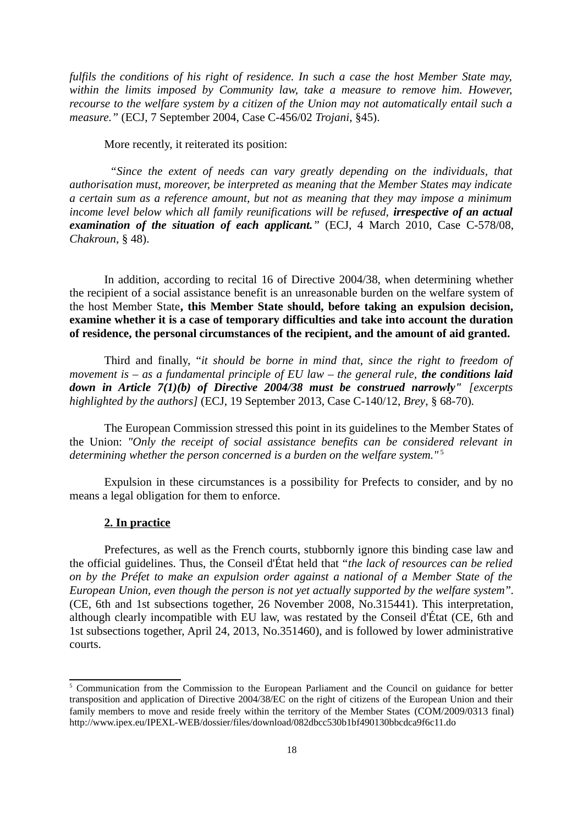*fulfils the conditions of his right of residence. In such a case the host Member State may, within the limits imposed by Community law, take a measure to remove him. However, recourse to the welfare system by a citizen of the Union may not automatically entail such a measure."* (ECJ, 7 September 2004, Case C-456/02 *Trojani*, §45).

More recently, it reiterated its position:

*"Since the extent of needs can vary greatly depending on the individuals, that authorisation must, moreover, be interpreted as meaning that the Member States may indicate a certain sum as a reference amount, but not as meaning that they may impose a minimum income level below which all family reunifications will be refused, irrespective of an actual examination of the situation of each applicant."* (ECJ, 4 March 2010, Case C-578/08, *Chakroun*, § 48).

In addition, according to recital 16 of Directive 2004/38, when determining whether the recipient of a social assistance benefit is an unreasonable burden on the welfare system of the host Member State**, this Member State should, before taking an expulsion decision, examine whether it is a case of temporary difficulties and take into account the duration of residence, the personal circumstances of the recipient, and the amount of aid granted.**

Third and finally, "*it should be borne in mind that, since the right to freedom of movement is – as a fundamental principle of EU law – the general rule, the conditions laid down in Article 7(1)(b) of Directive 2004/38 must be construed narrowly" [excerpts highlighted by the authors]* (ECJ, 19 September 2013, Case C-140/12, *Brey*, § 68-70)*.*

The European Commission stressed this point in its guidelines to the Member States of the Union: *"Only the receipt of social assistance benefits can be considered relevant in determining whether the person concerned is a burden on the welfare system."* [5](#page-17-0)

Expulsion in these circumstances is a possibility for Prefects to consider, and by no means a legal obligation for them to enforce.

### **2. In practice**

Prefectures, as well as the French courts, stubbornly ignore this binding case law and the official guidelines. Thus, the Conseil d'État held that "*the lack of resources can be relied on by the Préfet to make an expulsion order against a national of a Member State of the European Union, even though the person is not yet actually supported by the welfare system*"*.* (CE, 6th and 1st subsections together, 26 November 2008, No.315441). This interpretation, although clearly incompatible with EU law, was restated by the Conseil d'État (CE, 6th and 1st subsections together, April 24, 2013, No.351460), and is followed by lower administrative courts.

<span id="page-17-0"></span><sup>&</sup>lt;sup>5</sup> Communication from the Commission to the European Parliament and the Council on guidance for better transposition and application of Directive 2004/38/EC on the right of citizens of the European Union and their family members to move and reside freely within the territory of the Member States (COM/2009/0313 final) http://www.ipex.eu/IPEXL-WEB/dossier/files/download/082dbcc530b1bf490130bbcdca9f6c11.do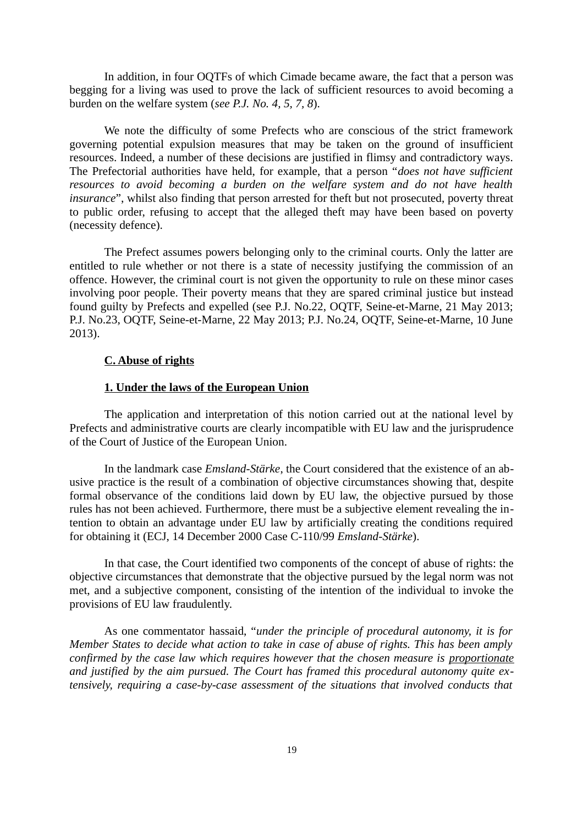In addition, in four OQTFs of which Cimade became aware, the fact that a person was begging for a living was used to prove the lack of sufficient resources to avoid becoming a burden on the welfare system (*see P.J. No. 4, 5, 7, 8*).

We note the difficulty of some Prefects who are conscious of the strict framework governing potential expulsion measures that may be taken on the ground of insufficient resources. Indeed, a number of these decisions are justified in flimsy and contradictory ways. The Prefectorial authorities have held, for example, that a person "*does not have sufficient resources to avoid becoming a burden on the welfare system and do not have health insurance*", whilst also finding that person arrested for theft but not prosecuted, poverty threat to public order, refusing to accept that the alleged theft may have been based on poverty (necessity defence).

The Prefect assumes powers belonging only to the criminal courts. Only the latter are entitled to rule whether or not there is a state of necessity justifying the commission of an offence. However, the criminal court is not given the opportunity to rule on these minor cases involving poor people. Their poverty means that they are spared criminal justice but instead found guilty by Prefects and expelled (see P.J. No.22, OQTF, Seine-et-Marne, 21 May 2013; P.J. No.23, OQTF, Seine-et-Marne, 22 May 2013; P.J. No.24, OQTF, Seine-et-Marne, 10 June 2013).

# **C. Abuse of rights**

#### **1. Under the laws of the European Union**

The application and interpretation of this notion carried out at the national level by Prefects and administrative courts are clearly incompatible with EU law and the jurisprudence of the Court of Justice of the European Union.

In the landmark case *Emsland-Stärke*, the Court considered that the existence of an abusive practice is the result of a combination of objective circumstances showing that, despite formal observance of the conditions laid down by EU law, the objective pursued by those rules has not been achieved. Furthermore, there must be a subjective element revealing the intention to obtain an advantage under EU law by artificially creating the conditions required for obtaining it (ECJ, 14 December 2000 Case C-110/99 *Emsland-Stärke*).

In that case, the Court identified two components of the concept of abuse of rights: the objective circumstances that demonstrate that the objective pursued by the legal norm was not met, and a subjective component, consisting of the intention of the individual to invoke the provisions of EU law fraudulently.

As one commentator hassaid, "*under the principle of procedural autonomy, it is for Member States to decide what action to take in case of abuse of rights. This has been amply confirmed by the case law which requires however that the chosen measure is proportionate and justified by the aim pursued. The Court has framed this procedural autonomy quite extensively, requiring a case-by-case assessment of the situations that involved conducts that*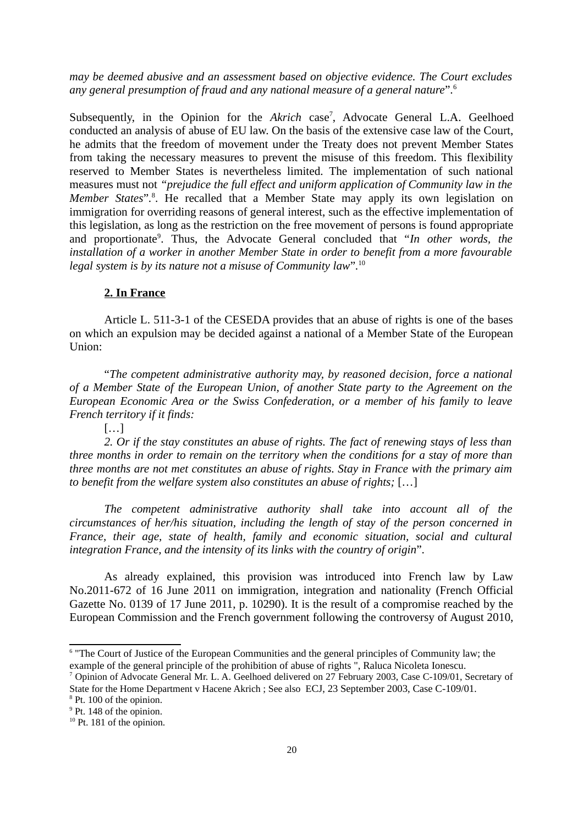*may be deemed abusive and an assessment based on objective evidence. The Court excludes any general presumption of fraud and any national measure of a general nature*"*.* [6](#page-19-0)

Subsequently, in the Opinion for the Akrich case<sup>[7](#page-19-1)</sup>, Advocate General L.A. Geelhoed conducted an analysis of abuse of EU law. On the basis of the extensive case law of the Court, he admits that the freedom of movement under the Treaty does not prevent Member States from taking the necessary measures to prevent the misuse of this freedom. This flexibility reserved to Member States is nevertheless limited. The implementation of such national measures must not *"prejudice the full effect and uniform application of Community law in the* Member States".<sup>[8](#page-19-2)</sup>. He recalled that a Member State may apply its own legislation on immigration for overriding reasons of general interest, such as the effective implementation of this legislation, as long as the restriction on the free movement of persons is found appropriate and proportionate<sup>[9](#page-19-3)</sup>. Thus, the Advocate General concluded that "In other words, the *installation of a worker in another Member State in order to benefit from a more favourable legal system is by its nature not a misuse of Community law*"*.* [10](#page-19-4)

### **2. In France**

Article L. 511-3-1 of the CESEDA provides that an abuse of rights is one of the bases on which an expulsion may be decided against a national of a Member State of the European Union:

"*The competent administrative authority may, by reasoned decision, force a national of a Member State of the European Union, of another State party to the Agreement on the European Economic Area or the Swiss Confederation, or a member of his family to leave French territory if it finds:*

[…]

*2. Or if the stay constitutes an abuse of rights. The fact of renewing stays of less than three months in order to remain on the territory when the conditions for a stay of more than three months are not met constitutes an abuse of rights. Stay in France with the primary aim to benefit from the welfare system also constitutes an abuse of rights;* […]

*The competent administrative authority shall take into account all of the circumstances of her/his situation, including the length of stay of the person concerned in France, their age, state of health, family and economic situation, social and cultural integration France, and the intensity of its links with the country of origin*"*.*

As already explained, this provision was introduced into French law by Law No.2011-672 of 16 June 2011 on immigration, integration and nationality (French Official Gazette No. 0139 of 17 June 2011, p. 10290). It is the result of a compromise reached by the European Commission and the French government following the controversy of August 2010,

<span id="page-19-0"></span><sup>&</sup>lt;sup>6</sup> "The Court of Justice of the European Communities and the general principles of Community law; the example of the general principle of the prohibition of abuse of rights ", Raluca Nicoleta Ionescu.

<span id="page-19-1"></span><sup>7</sup> Opinion of Advocate General Mr. L. A. Geelhoed delivered on 27 February 2003, Case C-109/01, Secretary of State for the Home Department v Hacene Akrich ; See also ECJ, 23 September 2003, Case C-109/01.

<span id="page-19-2"></span><sup>&</sup>lt;sup>8</sup> Pt. 100 of the opinion.

<span id="page-19-3"></span><sup>&</sup>lt;sup>9</sup> Pt. 148 of the opinion.

<span id="page-19-4"></span><sup>&</sup>lt;sup>10</sup> Pt. 181 of the opinion.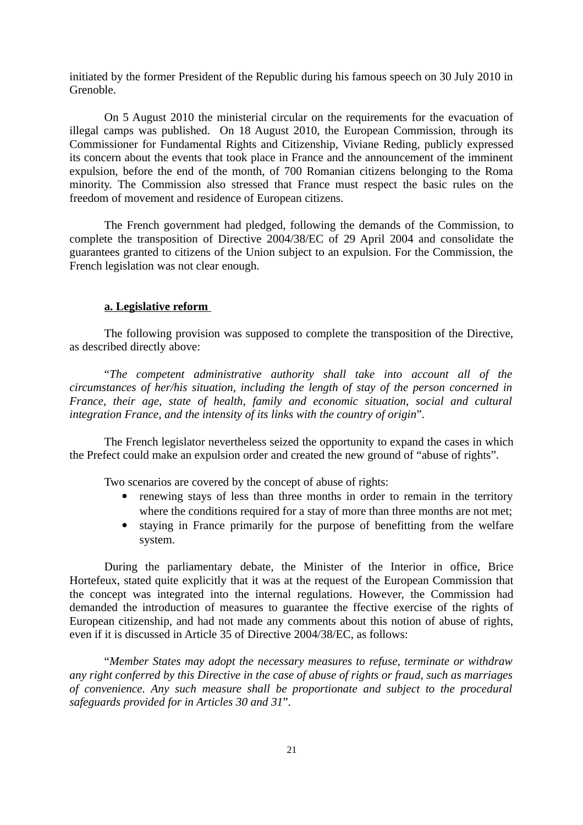initiated by the former President of the Republic during his famous speech on 30 July 2010 in Grenoble.

On 5 August 2010 the ministerial circular on the requirements for the evacuation of illegal camps was published. On 18 August 2010, the European Commission, through its Commissioner for Fundamental Rights and Citizenship, Viviane Reding, publicly expressed its concern about the events that took place in France and the announcement of the imminent expulsion, before the end of the month, of 700 Romanian citizens belonging to the Roma minority. The Commission also stressed that France must respect the basic rules on the freedom of movement and residence of European citizens.

The French government had pledged, following the demands of the Commission, to complete the transposition of Directive 2004/38/EC of 29 April 2004 and consolidate the guarantees granted to citizens of the Union subject to an expulsion. For the Commission, the French legislation was not clear enough.

# **a. Legislative reform**

The following provision was supposed to complete the transposition of the Directive, as described directly above:

"*The competent administrative authority shall take into account all of the circumstances of her/his situation, including the length of stay of the person concerned in France, their age, state of health, family and economic situation, social and cultural integration France, and the intensity of its links with the country of origin*"*.*

The French legislator nevertheless seized the opportunity to expand the cases in which the Prefect could make an expulsion order and created the new ground of "abuse of rights".

Two scenarios are covered by the concept of abuse of rights:

- renewing stays of less than three months in order to remain in the territory where the conditions required for a stay of more than three months are not met;
- staying in France primarily for the purpose of benefitting from the welfare system.

During the parliamentary debate, the Minister of the Interior in office, Brice Hortefeux, stated quite explicitly that it was at the request of the European Commission that the concept was integrated into the internal regulations. However, the Commission had demanded the introduction of measures to guarantee the ffective exercise of the rights of European citizenship, and had not made any comments about this notion of abuse of rights, even if it is discussed in Article 35 of Directive 2004/38/EC, as follows:

"*Member States may adopt the necessary measures to refuse, terminate or withdraw any right conferred by this Directive in the case of abuse of rights or fraud, such as marriages of convenience. Any such measure shall be proportionate and subject to the procedural safeguards provided for in Articles 30 and 31*"*.*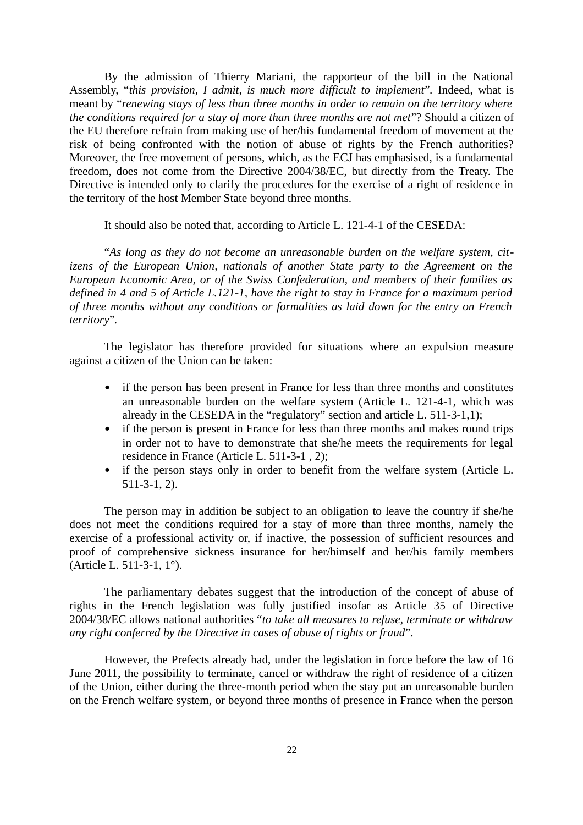By the admission of Thierry Mariani, the rapporteur of the bill in the National Assembly, "*this provision, I admit, is much more difficult to implement*"*.* Indeed, what is meant by "*renewing stays of less than three months in order to remain on the territory where the conditions required for a stay of more than three months are not met*"? Should a citizen of the EU therefore refrain from making use of her/his fundamental freedom of movement at the risk of being confronted with the notion of abuse of rights by the French authorities? Moreover, the free movement of persons, which, as the ECJ has emphasised, is a fundamental freedom, does not come from the Directive 2004/38/EC, but directly from the Treaty. The Directive is intended only to clarify the procedures for the exercise of a right of residence in the territory of the host Member State beyond three months.

It should also be noted that, according to Article L. 121-4-1 of the CESEDA:

"*As long as they do not become an unreasonable burden on the welfare system, citizens of the European Union, nationals of another State party to the Agreement on the European Economic Area, or of the Swiss Confederation, and members of their families as defined in 4 and 5 of Article L.121-1, have the right to stay in France for a maximum period of three months without any conditions or formalities as laid down for the entry on French territory*"*.*

The legislator has therefore provided for situations where an expulsion measure against a citizen of the Union can be taken:

- if the person has been present in France for less than three months and constitutes an unreasonable burden on the welfare system (Article L. 121-4-1, which was already in the CESEDA in the "regulatory" section and article L. 511-3-1,1);
- if the person is present in France for less than three months and makes round trips in order not to have to demonstrate that she/he meets the requirements for legal residence in France (Article L. 511-3-1 , 2);
- if the person stays only in order to benefit from the welfare system (Article L. 511-3-1, 2).

The person may in addition be subject to an obligation to leave the country if she/he does not meet the conditions required for a stay of more than three months, namely the exercise of a professional activity or, if inactive, the possession of sufficient resources and proof of comprehensive sickness insurance for her/himself and her/his family members (Article L. 511-3-1, 1°).

The parliamentary debates suggest that the introduction of the concept of abuse of rights in the French legislation was fully justified insofar as Article 35 of Directive 2004/38/EC allows national authorities "*to take all measures to refuse, terminate or withdraw any right conferred by the Directive in cases of abuse of rights or fraud*".

However, the Prefects already had, under the legislation in force before the law of 16 June 2011, the possibility to terminate, cancel or withdraw the right of residence of a citizen of the Union, either during the three-month period when the stay put an unreasonable burden on the French welfare system, or beyond three months of presence in France when the person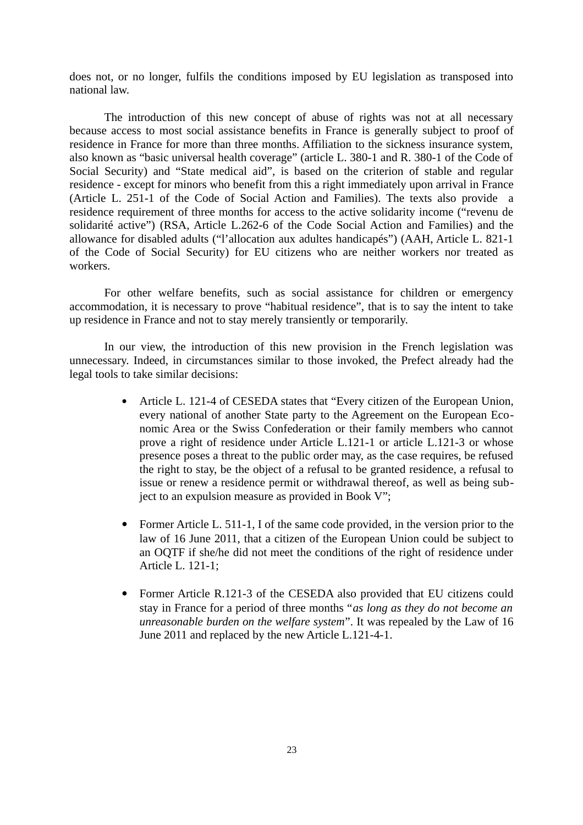does not, or no longer, fulfils the conditions imposed by EU legislation as transposed into national law.

The introduction of this new concept of abuse of rights was not at all necessary because access to most social assistance benefits in France is generally subject to proof of residence in France for more than three months. Affiliation to the sickness insurance system, also known as "basic universal health coverage" (article L. 380-1 and R. 380-1 of the Code of Social Security) and "State medical aid", is based on the criterion of stable and regular residence - except for minors who benefit from this a right immediately upon arrival in France (Article L. 251-1 of the Code of Social Action and Families). The texts also provide a residence requirement of three months for access to the active solidarity income ("revenu de solidarité active") (RSA, Article L.262-6 of the Code Social Action and Families) and the allowance for disabled adults ("l'allocation aux adultes handicapés") (AAH, Article L. 821-1 of the Code of Social Security) for EU citizens who are neither workers nor treated as workers.

For other welfare benefits, such as social assistance for children or emergency accommodation, it is necessary to prove "habitual residence", that is to say the intent to take up residence in France and not to stay merely transiently or temporarily.

In our view, the introduction of this new provision in the French legislation was unnecessary. Indeed, in circumstances similar to those invoked, the Prefect already had the legal tools to take similar decisions:

- Article L. 121-4 of CESEDA states that "Every citizen of the European Union, every national of another State party to the Agreement on the European Economic Area or the Swiss Confederation or their family members who cannot prove a right of residence under Article L.121-1 or article L.121-3 or whose presence poses a threat to the public order may, as the case requires, be refused the right to stay, be the object of a refusal to be granted residence, a refusal to issue or renew a residence permit or withdrawal thereof, as well as being subject to an expulsion measure as provided in Book V";
- Former Article L. 511-1, I of the same code provided, in the version prior to the law of 16 June 2011, that a citizen of the European Union could be subject to an OQTF if she/he did not meet the conditions of the right of residence under Article L. 121-1;
- Former Article R.121-3 of the CESEDA also provided that EU citizens could stay in France for a period of three months "*as long as they do not become an unreasonable burden on the welfare system*". It was repealed by the Law of 16 June 2011 and replaced by the new Article L.121-4-1.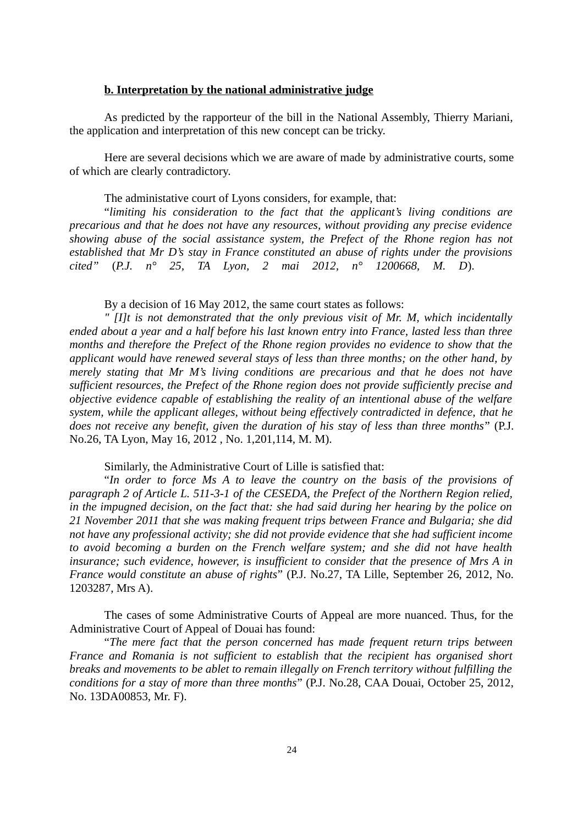# **b. Interpretation by the national administrative judge**

As predicted by the rapporteur of the bill in the National Assembly, Thierry Mariani, the application and interpretation of this new concept can be tricky.

Here are several decisions which we are aware of made by administrative courts, some of which are clearly contradictory.

The administative court of Lyons considers, for example, that:

"*limiting his consideration to the fact that the applicant's living conditions are precarious and that he does not have any resources, without providing any precise evidence showing abuse of the social assistance system, the Prefect of the Rhone region has not established that Mr D's stay in France constituted an abuse of rights under the provisions cited"* (*P.J. n° 25, TA Lyon, 2 mai 2012, n° 1200668, M. D*).

By a decision of 16 May 2012, the same court states as follows:

*" [I]t is not demonstrated that the only previous visit of Mr. M, which incidentally ended about a year and a half before his last known entry into France, lasted less than three months and therefore the Prefect of the Rhone region provides no evidence to show that the applicant would have renewed several stays of less than three months; on the other hand, by merely stating that Mr M's living conditions are precarious and that he does not have sufficient resources, the Prefect of the Rhone region does not provide sufficiently precise and objective evidence capable of establishing the reality of an intentional abuse of the welfare system, while the applicant alleges, without being effectively contradicted in defence, that he does not receive any benefit, given the duration of his stay of less than three months*" (P.J. No.26, TA Lyon, May 16, 2012 , No. 1,201,114, M. M).

Similarly, the Administrative Court of Lille is satisfied that:

"*In order to force Ms A to leave the country on the basis of the provisions of paragraph 2 of Article L. 511-3-1 of the CESEDA, the Prefect of the Northern Region relied, in the impugned decision, on the fact that: she had said during her hearing by the police on 21 November 2011 that she was making frequent trips between France and Bulgaria; she did not have any professional activity; she did not provide evidence that she had sufficient income to avoid becoming a burden on the French welfare system; and she did not have health insurance; such evidence, however, is insufficient to consider that the presence of Mrs A in France would constitute an abuse of rights*" (P.J. No.27, TA Lille, September 26, 2012, No. 1203287, Mrs A).

The cases of some Administrative Courts of Appeal are more nuanced. Thus, for the Administrative Court of Appeal of Douai has found:

"*The mere fact that the person concerned has made frequent return trips between France and Romania is not sufficient to establish that the recipient has organised short breaks and movements to be ablet to remain illegally on French territory without fulfilling the conditions for a stay of more than three months*" (P.J. No.28, CAA Douai, October 25, 2012, No. 13DA00853, Mr. F).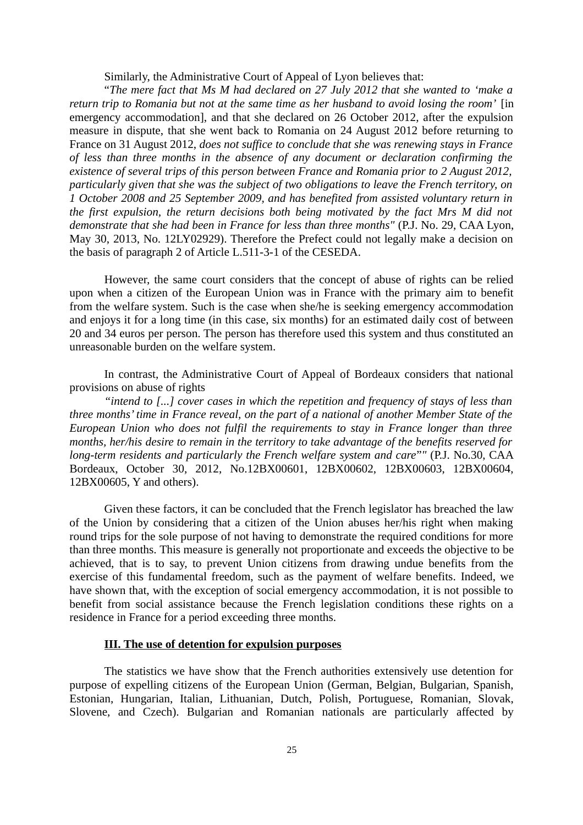Similarly, the Administrative Court of Appeal of Lyon believes that:

"*The mere fact that Ms M had declared on 27 July 2012 that she wanted to 'make a return trip to Romania but not at the same time as her husband to avoid losing the room'* [in emergency accommodation], and that she declared on 26 October 2012, after the expulsion measure in dispute, that she went back to Romania on 24 August 2012 before returning to France on 31 August 2012, *does not suffice to conclude that she was renewing stays in France of less than three months in the absence of any document or declaration confirming the existence of several trips of this person between France and Romania prior to 2 August 2012, particularly given that she was the subject of two obligations to leave the French territory, on 1 October 2008 and 25 September 2009, and has benefited from assisted voluntary return in the first expulsion, the return decisions both being motivated by the fact Mrs M did not* demonstrate that she had been in France for less than three months" (P.J. No. 29, CAA Lyon, May 30, 2013, No. 12LY02929). Therefore the Prefect could not legally make a decision on the basis of paragraph 2 of Article L.511-3-1 of the CESEDA.

However, the same court considers that the concept of abuse of rights can be relied upon when a citizen of the European Union was in France with the primary aim to benefit from the welfare system. Such is the case when she/he is seeking emergency accommodation and enjoys it for a long time (in this case, six months) for an estimated daily cost of between 20 and 34 euros per person. The person has therefore used this system and thus constituted an unreasonable burden on the welfare system.

In contrast, the Administrative Court of Appeal of Bordeaux considers that national provisions on abuse of rights

*"intend to [...] cover cases in which the repetition and frequency of stays of less than three months' time in France reveal, on the part of a national of another Member State of the European Union who does not fulfil the requirements to stay in France longer than three months, her/his desire to remain in the territory to take advantage of the benefits reserved for long-term residents and particularly the French welfare system and care*"*"* (P.J. No.30, CAA Bordeaux, October 30, 2012, No.12BX00601, 12BX00602, 12BX00603, 12BX00604, 12BX00605, Y and others).

Given these factors, it can be concluded that the French legislator has breached the law of the Union by considering that a citizen of the Union abuses her/his right when making round trips for the sole purpose of not having to demonstrate the required conditions for more than three months. This measure is generally not proportionate and exceeds the objective to be achieved, that is to say, to prevent Union citizens from drawing undue benefits from the exercise of this fundamental freedom, such as the payment of welfare benefits. Indeed, we have shown that, with the exception of social emergency accommodation, it is not possible to benefit from social assistance because the French legislation conditions these rights on a residence in France for a period exceeding three months.

### **III. The use of detention for expulsion purposes**

The statistics we have show that the French authorities extensively use detention for purpose of expelling citizens of the European Union (German, Belgian, Bulgarian, Spanish, Estonian, Hungarian, Italian, Lithuanian, Dutch, Polish, Portuguese, Romanian, Slovak, Slovene, and Czech). Bulgarian and Romanian nationals are particularly affected by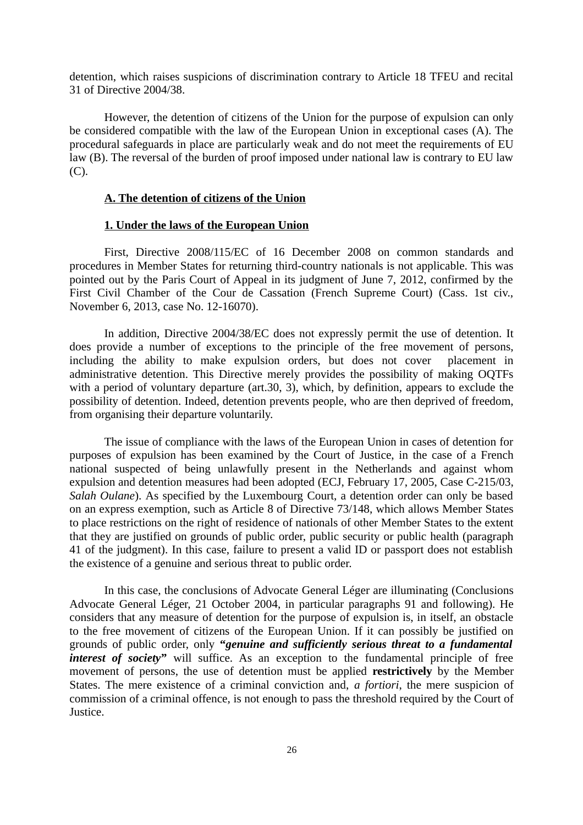detention, which raises suspicions of discrimination contrary to Article 18 TFEU and recital 31 of Directive 2004/38.

However, the detention of citizens of the Union for the purpose of expulsion can only be considered compatible with the law of the European Union in exceptional cases (A). The procedural safeguards in place are particularly weak and do not meet the requirements of EU law (B). The reversal of the burden of proof imposed under national law is contrary to EU law (C).

#### **A. The detention of citizens of the Union**

#### **1. Under the laws of the European Union**

First, Directive 2008/115/EC of 16 December 2008 on common standards and procedures in Member States for returning third-country nationals is not applicable. This was pointed out by the Paris Court of Appeal in its judgment of June 7, 2012, confirmed by the First Civil Chamber of the Cour de Cassation (French Supreme Court) (Cass. 1st civ., November 6, 2013, case No. 12-16070).

In addition, Directive 2004/38/EC does not expressly permit the use of detention. It does provide a number of exceptions to the principle of the free movement of persons, including the ability to make expulsion orders, but does not cover placement in administrative detention. This Directive merely provides the possibility of making OQTFs with a period of voluntary departure (art.30, 3), which, by definition, appears to exclude the possibility of detention. Indeed, detention prevents people, who are then deprived of freedom, from organising their departure voluntarily.

The issue of compliance with the laws of the European Union in cases of detention for purposes of expulsion has been examined by the Court of Justice, in the case of a French national suspected of being unlawfully present in the Netherlands and against whom expulsion and detention measures had been adopted (ECJ, February 17, 2005, Case C-215/03, *Salah Oulane*). As specified by the Luxembourg Court, a detention order can only be based on an express exemption, such as Article 8 of Directive 73/148, which allows Member States to place restrictions on the right of residence of nationals of other Member States to the extent that they are justified on grounds of public order, public security or public health (paragraph 41 of the judgment). In this case, failure to present a valid ID or passport does not establish the existence of a genuine and serious threat to public order.

In this case, the conclusions of Advocate General Léger are illuminating (Conclusions Advocate General Léger, 21 October 2004, in particular paragraphs 91 and following). He considers that any measure of detention for the purpose of expulsion is, in itself, an obstacle to the free movement of citizens of the European Union. If it can possibly be justified on grounds of public order, only **"***genuine and sufficiently serious threat to a fundamental interest of society*<sup>"</sup> will suffice. As an exception to the fundamental principle of free movement of persons, the use of detention must be applied **restrictively** by the Member States. The mere existence of a criminal conviction and, *a fortiori*, the mere suspicion of commission of a criminal offence, is not enough to pass the threshold required by the Court of Justice.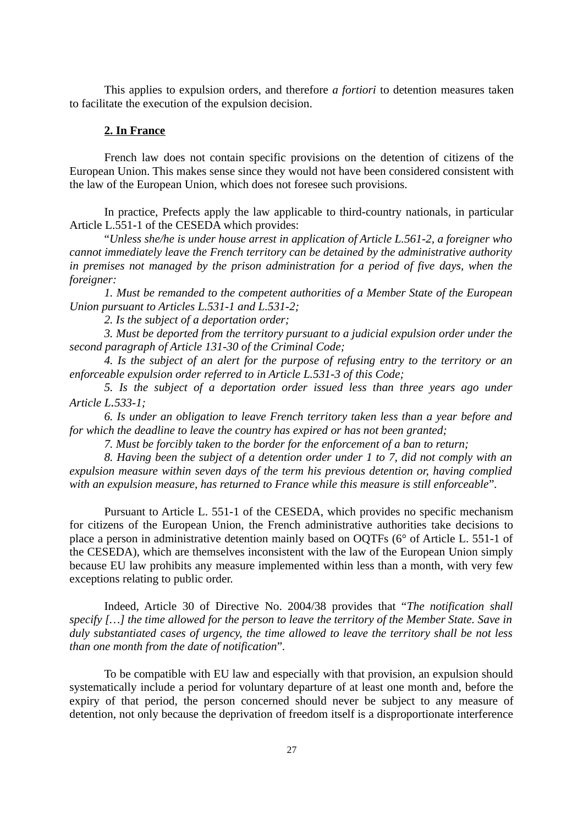This applies to expulsion orders, and therefore *a fortiori* to detention measures taken to facilitate the execution of the expulsion decision.

### **2. In France**

French law does not contain specific provisions on the detention of citizens of the European Union. This makes sense since they would not have been considered consistent with the law of the European Union, which does not foresee such provisions.

In practice, Prefects apply the law applicable to third-country nationals, in particular Article L.551-1 of the CESEDA which provides:

"*Unless she/he is under house arrest in application of Article L.561-2, a foreigner who cannot immediately leave the French territory can be detained by the administrative authority in premises not managed by the prison administration for a period of five days, when the foreigner:*

*1. Must be remanded to the competent authorities of a Member State of the European Union pursuant to Articles L.531-1 and L.531-2;*

*2. Is the subject of a deportation order;*

*3. Must be deported from the territory pursuant to a judicial expulsion order under the second paragraph of Article 131-30 of the Criminal Code;*

*4. Is the subject of an alert for the purpose of refusing entry to the territory or an enforceable expulsion order referred to in Article L.531-3 of this Code;*

*5. Is the subject of a deportation order issued less than three years ago under Article L.533-1;*

*6. Is under an obligation to leave French territory taken less than a year before and for which the deadline to leave the country has expired or has not been granted;*

*7. Must be forcibly taken to the border for the enforcement of a ban to return;*

*8. Having been the subject of a detention order under 1 to 7, did not comply with an expulsion measure within seven days of the term his previous detention or, having complied with an expulsion measure, has returned to France while this measure is still enforceable*"*.*

Pursuant to Article L. 551-1 of the CESEDA, which provides no specific mechanism for citizens of the European Union, the French administrative authorities take decisions to place a person in administrative detention mainly based on OQTFs (6° of Article L. 551-1 of the CESEDA), which are themselves inconsistent with the law of the European Union simply because EU law prohibits any measure implemented within less than a month, with very few exceptions relating to public order.

Indeed, Article 30 of Directive No. 2004/38 provides that "*The notification shall specify […] the time allowed for the person to leave the territory of the Member State. Save in duly substantiated cases of urgency, the time allowed to leave the territory shall be not less than one month from the date of notification*"*.*

To be compatible with EU law and especially with that provision, an expulsion should systematically include a period for voluntary departure of at least one month and, before the expiry of that period, the person concerned should never be subject to any measure of detention, not only because the deprivation of freedom itself is a disproportionate interference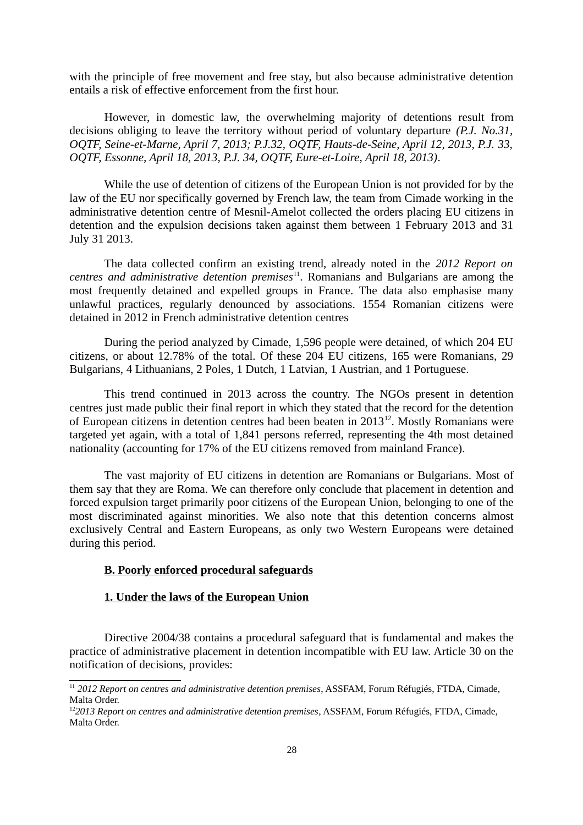with the principle of free movement and free stay, but also because administrative detention entails a risk of effective enforcement from the first hour.

However, in domestic law, the overwhelming majority of detentions result from decisions obliging to leave the territory without period of voluntary departure *(P.J. No.31, OQTF, Seine-et-Marne, April 7, 2013; P.J.32, OQTF, Hauts-de-Seine, April 12, 2013, P.J. 33, OQTF, Essonne, April 18, 2013, P.J. 34, OQTF, Eure-et-Loire, April 18, 2013)*.

While the use of detention of citizens of the European Union is not provided for by the law of the EU nor specifically governed by French law, the team from Cimade working in the administrative detention centre of Mesnil-Amelot collected the orders placing EU citizens in detention and the expulsion decisions taken against them between 1 February 2013 and 31 July 31 2013.

The data collected confirm an existing trend, already noted in the *2012 Report on centres and administrative detention premises*[11](#page-27-0). Romanians and Bulgarians are among the most frequently detained and expelled groups in France. The data also emphasise many unlawful practices, regularly denounced by associations. 1554 Romanian citizens were detained in 2012 in French administrative detention centres

During the period analyzed by Cimade, 1,596 people were detained, of which 204 EU citizens, or about 12.78% of the total. Of these 204 EU citizens, 165 were Romanians, 29 Bulgarians, 4 Lithuanians, 2 Poles, 1 Dutch, 1 Latvian, 1 Austrian, and 1 Portuguese.

This trend continued in 2013 across the country. The NGOs present in detention centres just made public their final report in which they stated that the record for the detention of European citizens in detention centres had been beaten in 2013<sup>[12](#page-27-1)</sup>. Mostly Romanians were targeted yet again, with a total of 1,841 persons referred, representing the 4th most detained nationality (accounting for 17% of the EU citizens removed from mainland France).

The vast majority of EU citizens in detention are Romanians or Bulgarians. Most of them say that they are Roma. We can therefore only conclude that placement in detention and forced expulsion target primarily poor citizens of the European Union, belonging to one of the most discriminated against minorities. We also note that this detention concerns almost exclusively Central and Eastern Europeans, as only two Western Europeans were detained during this period.

# **B. Poorly enforced procedural safeguards**

# **1. Under the laws of the European Union**

Directive 2004/38 contains a procedural safeguard that is fundamental and makes the practice of administrative placement in detention incompatible with EU law. Article 30 on the notification of decisions, provides:

<span id="page-27-0"></span><sup>&</sup>lt;sup>11</sup> 2012 Report on centres and administrative detention premises, ASSFAM, Forum Réfugiés, FTDA, Cimade, Malta Order.

<span id="page-27-1"></span><sup>12</sup>*2013 Report on centres and administrative detention premises*, ASSFAM, Forum Réfugiés, FTDA, Cimade, Malta Order.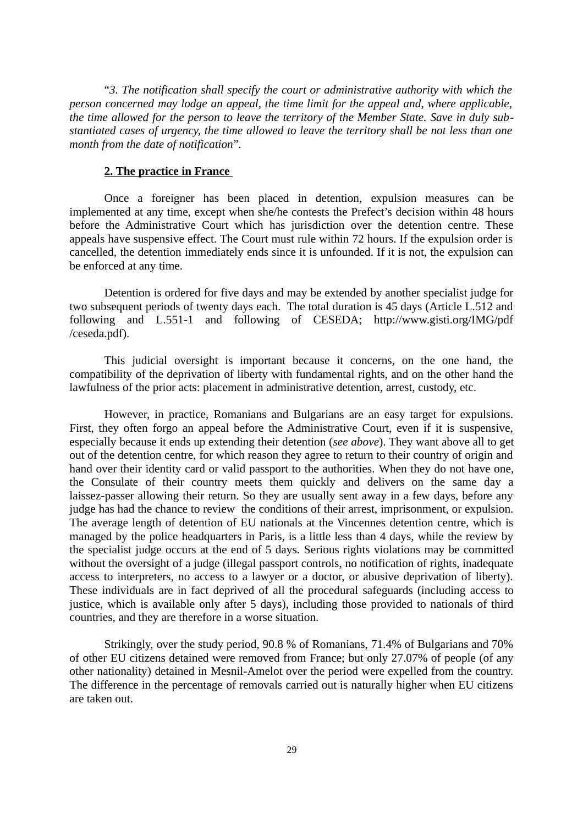"*3. The notification shall specify the court or administrative authority with which the person concerned may lodge an appeal, the time limit for the appeal and, where applicable, the time allowed for the person to leave the territory of the Member State. Save in duly substantiated cases of urgency, the time allowed to leave the territory shall be not less than one month from the date of notification*"*.*

# **2. The practice in France**

Once a foreigner has been placed in detention, expulsion measures can be implemented at any time, except when she/he contests the Prefect's decision within 48 hours before the Administrative Court which has jurisdiction over the detention centre. These appeals have suspensive effect. The Court must rule within 72 hours. If the expulsion order is cancelled, the detention immediately ends since it is unfounded. If it is not, the expulsion can be enforced at any time.

Detention is ordered for five days and may be extended by another specialist judge for two subsequent periods of twenty days each. The total duration is 45 days (Article L.512 and following and L.551-1 and following of CESEDA; http://www.gisti.org/IMG/pdf /ceseda.pdf).

This judicial oversight is important because it concerns, on the one hand, the compatibility of the deprivation of liberty with fundamental rights, and on the other hand the lawfulness of the prior acts: placement in administrative detention, arrest, custody, etc.

However, in practice, Romanians and Bulgarians are an easy target for expulsions. First, they often forgo an appeal before the Administrative Court, even if it is suspensive, especially because it ends up extending their detention (*see above*). They want above all to get out of the detention centre, for which reason they agree to return to their country of origin and hand over their identity card or valid passport to the authorities. When they do not have one, the Consulate of their country meets them quickly and delivers on the same day a laissez-passer allowing their return. So they are usually sent away in a few days, before any judge has had the chance to review the conditions of their arrest, imprisonment, or expulsion. The average length of detention of EU nationals at the Vincennes detention centre, which is managed by the police headquarters in Paris, is a little less than 4 days, while the review by the specialist judge occurs at the end of 5 days. Serious rights violations may be committed without the oversight of a judge (illegal passport controls, no notification of rights, inadequate access to interpreters, no access to a lawyer or a doctor, or abusive deprivation of liberty). These individuals are in fact deprived of all the procedural safeguards (including access to justice, which is available only after 5 days), including those provided to nationals of third countries, and they are therefore in a worse situation.

Strikingly, over the study period, 90.8 % of Romanians, 71.4% of Bulgarians and 70% of other EU citizens detained were removed from France; but only 27.07% of people (of any other nationality) detained in Mesnil-Amelot over the period were expelled from the country. The difference in the percentage of removals carried out is naturally higher when EU citizens are taken out.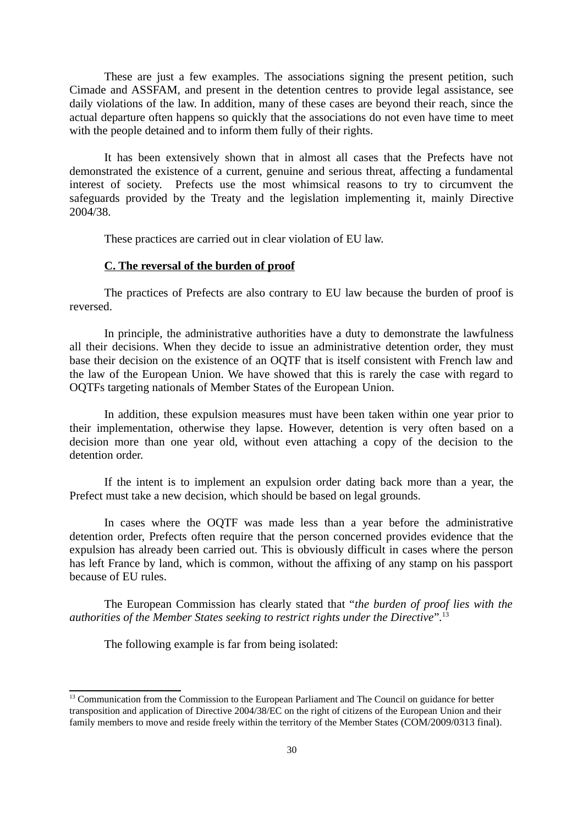These are just a few examples. The associations signing the present petition, such Cimade and ASSFAM, and present in the detention centres to provide legal assistance, see daily violations of the law. In addition, many of these cases are beyond their reach, since the actual departure often happens so quickly that the associations do not even have time to meet with the people detained and to inform them fully of their rights.

It has been extensively shown that in almost all cases that the Prefects have not demonstrated the existence of a current, genuine and serious threat, affecting a fundamental interest of society. Prefects use the most whimsical reasons to try to circumvent the safeguards provided by the Treaty and the legislation implementing it, mainly Directive 2004/38.

These practices are carried out in clear violation of EU law.

# **C. The reversal of the burden of proof**

The practices of Prefects are also contrary to EU law because the burden of proof is reversed.

In principle, the administrative authorities have a duty to demonstrate the lawfulness all their decisions. When they decide to issue an administrative detention order, they must base their decision on the existence of an OQTF that is itself consistent with French law and the law of the European Union. We have showed that this is rarely the case with regard to OQTFs targeting nationals of Member States of the European Union.

In addition, these expulsion measures must have been taken within one year prior to their implementation, otherwise they lapse. However, detention is very often based on a decision more than one year old, without even attaching a copy of the decision to the detention order.

If the intent is to implement an expulsion order dating back more than a year, the Prefect must take a new decision, which should be based on legal grounds.

In cases where the OQTF was made less than a year before the administrative detention order, Prefects often require that the person concerned provides evidence that the expulsion has already been carried out. This is obviously difficult in cases where the person has left France by land, which is common, without the affixing of any stamp on his passport because of EU rules.

The European Commission has clearly stated that "*the burden of proof lies with the authorities of the Member States seeking to restrict rights under the Directive*"*.* [13](#page-29-0)

The following example is far from being isolated:

<span id="page-29-0"></span><sup>&</sup>lt;sup>13</sup> Communication from the Commission to the European Parliament and The Council on guidance for better transposition and application of Directive 2004/38/EC on the right of citizens of the European Union and their family members to move and reside freely within the territory of the Member States (COM/2009/0313 final).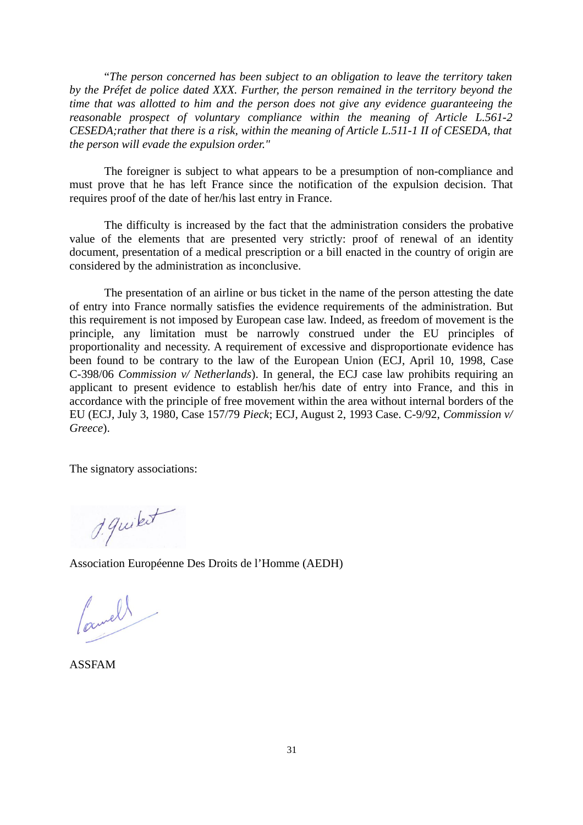"*The person concerned has been subject to an obligation to leave the territory taken by the Préfet de police dated XXX. Further, the person remained in the territory beyond the time that was allotted to him and the person does not give any evidence guaranteeing the reasonable prospect of voluntary compliance within the meaning of Article L.561-2 CESEDA;rather that there is a risk, within the meaning of Article L.511-1 II of CESEDA, that the person will evade the expulsion order."*

The foreigner is subject to what appears to be a presumption of non-compliance and must prove that he has left France since the notification of the expulsion decision. That requires proof of the date of her/his last entry in France.

The difficulty is increased by the fact that the administration considers the probative value of the elements that are presented very strictly: proof of renewal of an identity document, presentation of a medical prescription or a bill enacted in the country of origin are considered by the administration as inconclusive.

The presentation of an airline or bus ticket in the name of the person attesting the date of entry into France normally satisfies the evidence requirements of the administration. But this requirement is not imposed by European case law. Indeed, as freedom of movement is the principle, any limitation must be narrowly construed under the EU principles of proportionality and necessity. A requirement of excessive and disproportionate evidence has been found to be contrary to the law of the European Union (ECJ, April 10, 1998, Case C-398/06 *Commission v/ Netherlands*). In general, the ECJ case law prohibits requiring an applicant to present evidence to establish her/his date of entry into France, and this in accordance with the principle of free movement within the area without internal borders of the EU (ECJ, July 3, 1980, Case 157/79 *Pieck*; ECJ, August 2, 1993 Case. C-9/92, *Commission v/ Greece*).

The signatory associations:

1. quitet

Association Européenne Des Droits de l'Homme (AEDH)

Camell

ASSFAM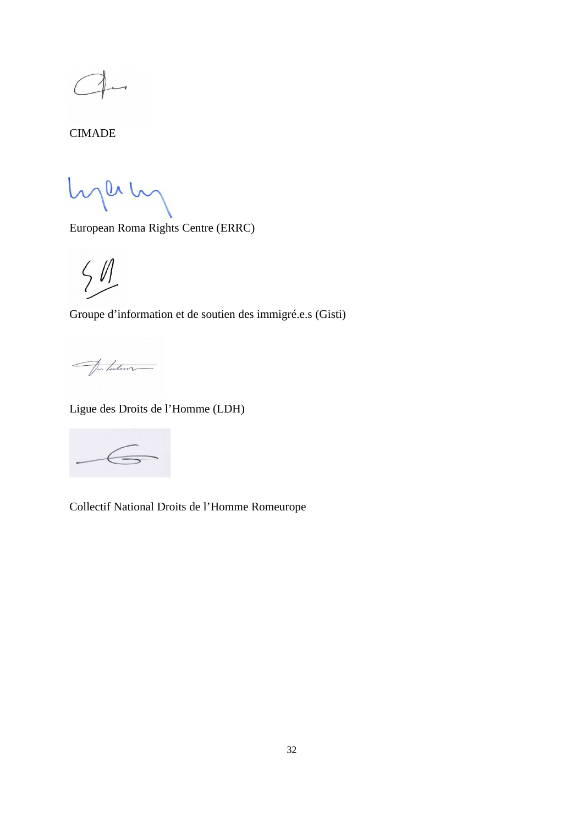CIMADE

hperty

European Roma Rights Centre (ERRC)

 $5/1$ 

Groupe d'information et de soutien des immigré.e.s (Gisti)

Jakulan

Ligue des Droits de l'Homme (LDH)

Collectif National Droits de l'Homme Romeurope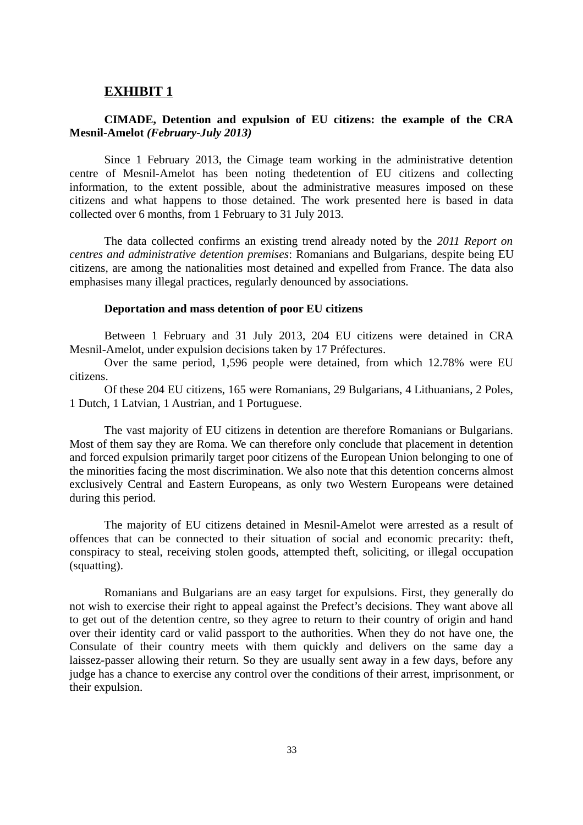# **EXHIBIT 1**

# **CIMADE, Detention and expulsion of EU citizens: the example of the CRA Mesnil-Amelot** *(February-July 2013)*

Since 1 February 2013, the Cimage team working in the administrative detention centre of Mesnil-Amelot has been noting thedetention of EU citizens and collecting information, to the extent possible, about the administrative measures imposed on these citizens and what happens to those detained. The work presented here is based in data collected over 6 months, from 1 February to 31 July 2013.

The data collected confirms an existing trend already noted by the *2011 Report on centres and administrative detention premises*: Romanians and Bulgarians, despite being EU citizens, are among the nationalities most detained and expelled from France. The data also emphasises many illegal practices, regularly denounced by associations.

#### **Deportation and mass detention of poor EU citizens**

Between 1 February and 31 July 2013, 204 EU citizens were detained in CRA Mesnil-Amelot, under expulsion decisions taken by 17 Préfectures.

Over the same period, 1,596 people were detained, from which 12.78% were EU citizens.

Of these 204 EU citizens, 165 were Romanians, 29 Bulgarians, 4 Lithuanians, 2 Poles, 1 Dutch, 1 Latvian, 1 Austrian, and 1 Portuguese.

The vast majority of EU citizens in detention are therefore Romanians or Bulgarians. Most of them say they are Roma. We can therefore only conclude that placement in detention and forced expulsion primarily target poor citizens of the European Union belonging to one of the minorities facing the most discrimination. We also note that this detention concerns almost exclusively Central and Eastern Europeans, as only two Western Europeans were detained during this period.

The majority of EU citizens detained in Mesnil-Amelot were arrested as a result of offences that can be connected to their situation of social and economic precarity: theft, conspiracy to steal, receiving stolen goods, attempted theft, soliciting, or illegal occupation (squatting).

Romanians and Bulgarians are an easy target for expulsions. First, they generally do not wish to exercise their right to appeal against the Prefect's decisions. They want above all to get out of the detention centre, so they agree to return to their country of origin and hand over their identity card or valid passport to the authorities. When they do not have one, the Consulate of their country meets with them quickly and delivers on the same day a laissez-passer allowing their return. So they are usually sent away in a few days, before any judge has a chance to exercise any control over the conditions of their arrest, imprisonment, or their expulsion.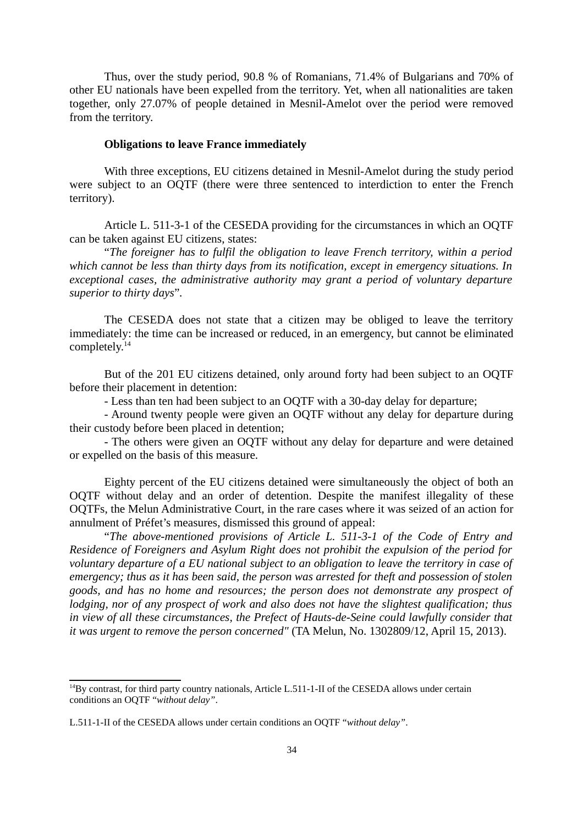Thus, over the study period, 90.8 % of Romanians, 71.4% of Bulgarians and 70% of other EU nationals have been expelled from the territory. Yet, when all nationalities are taken together, only 27.07% of people detained in Mesnil-Amelot over the period were removed from the territory.

# **Obligations to leave France immediately**

With three exceptions, EU citizens detained in Mesnil-Amelot during the study period were subject to an OQTF (there were three sentenced to interdiction to enter the French territory).

Article L. 511-3-1 of the CESEDA providing for the circumstances in which an OQTF can be taken against EU citizens, states:

"*The foreigner has to fulfil the obligation to leave French territory, within a period which cannot be less than thirty days from its notification, except in emergency situations. In exceptional cases, the administrative authority may grant a period of voluntary departure superior to thirty days*"*.*

The CESEDA does not state that a citizen may be obliged to leave the territory immediately: the time can be increased or reduced, in an emergency, but cannot be eliminated completely.<sup>[14](#page-33-0)</sup>

But of the 201 EU citizens detained, only around forty had been subject to an OQTF before their placement in detention:

- Less than ten had been subject to an OQTF with a 30-day delay for departure;

- Around twenty people were given an OQTF without any delay for departure during their custody before been placed in detention;

- The others were given an OQTF without any delay for departure and were detained or expelled on the basis of this measure.

Eighty percent of the EU citizens detained were simultaneously the object of both an OQTF without delay and an order of detention. Despite the manifest illegality of these OQTFs, the Melun Administrative Court, in the rare cases where it was seized of an action for annulment of Préfet's measures, dismissed this ground of appeal:

"*The above-mentioned provisions of Article L. 511-3-1 of the Code of Entry and Residence of Foreigners and Asylum Right does not prohibit the expulsion of the period for voluntary departure of a EU national subject to an obligation to leave the territory in case of emergency; thus as it has been said, the person was arrested for theft and possession of stolen goods, and has no home and resources; the person does not demonstrate any prospect of lodging, nor of any prospect of work and also does not have the slightest qualification; thus in view of all these circumstances, the Prefect of Hauts-de-Seine could lawfully consider that it was urgent to remove the person concerned"* (TA Melun, No. 1302809/12, April 15, 2013).

<span id="page-33-0"></span><sup>&</sup>lt;sup>14</sup>By contrast, for third party country nationals, Article L.511-1-II of the CESEDA allows under certain conditions an OQTF "*without delay"*.

L.511-1-II of the CESEDA allows under certain conditions an OQTF "*without delay"*.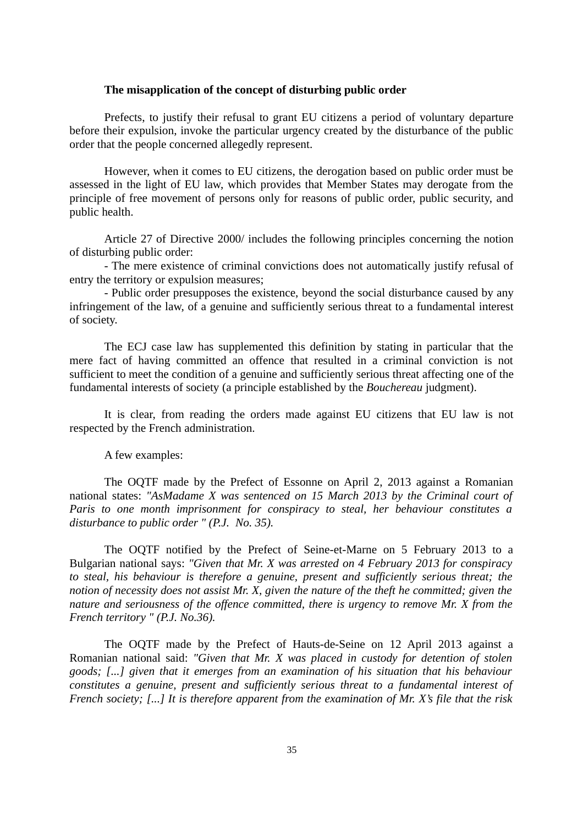# **The misapplication of the concept of disturbing public order**

Prefects, to justify their refusal to grant EU citizens a period of voluntary departure before their expulsion, invoke the particular urgency created by the disturbance of the public order that the people concerned allegedly represent.

However, when it comes to EU citizens, the derogation based on public order must be assessed in the light of EU law, which provides that Member States may derogate from the principle of free movement of persons only for reasons of public order, public security, and public health.

Article 27 of Directive 2000/ includes the following principles concerning the notion of disturbing public order:

- The mere existence of criminal convictions does not automatically justify refusal of entry the territory or expulsion measures;

- Public order presupposes the existence, beyond the social disturbance caused by any infringement of the law, of a genuine and sufficiently serious threat to a fundamental interest of society.

The ECJ case law has supplemented this definition by stating in particular that the mere fact of having committed an offence that resulted in a criminal conviction is not sufficient to meet the condition of a genuine and sufficiently serious threat affecting one of the fundamental interests of society (a principle established by the *Bouchereau* judgment).

It is clear, from reading the orders made against EU citizens that EU law is not respected by the French administration.

A few examples:

The OQTF made by the Prefect of Essonne on April 2, 2013 against a Romanian national states: *"AsMadame X was sentenced on 15 March 2013 by the Criminal court of Paris to one month imprisonment for conspiracy to steal, her behaviour constitutes a disturbance to public order " (P.J. No. 35).*

The OQTF notified by the Prefect of Seine-et-Marne on 5 February 2013 to a Bulgarian national says: *"Given that Mr. X was arrested on 4 February 2013 for conspiracy to steal, his behaviour is therefore a genuine, present and sufficiently serious threat; the notion of necessity does not assist Mr. X, given the nature of the theft he committed; given the nature and seriousness of the offence committed, there is urgency to remove Mr. X from the French territory " (P.J. No.36).*

The OQTF made by the Prefect of Hauts-de-Seine on 12 April 2013 against a Romanian national said: *"Given that Mr. X was placed in custody for detention of stolen goods; [...] given that it emerges from an examination of his situation that his behaviour constitutes a genuine, present and sufficiently serious threat to a fundamental interest of French society; [...] It is therefore apparent from the examination of Mr. X's file that the risk*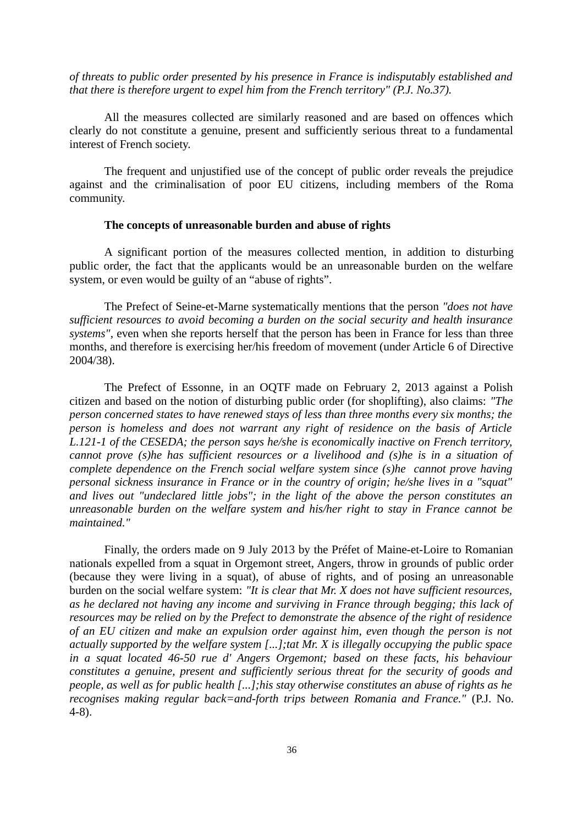*of threats to public order presented by his presence in France is indisputably established and that there is therefore urgent to expel him from the French territory" (P.J. No.37).*

All the measures collected are similarly reasoned and are based on offences which clearly do not constitute a genuine, present and sufficiently serious threat to a fundamental interest of French society.

The frequent and unjustified use of the concept of public order reveals the prejudice against and the criminalisation of poor EU citizens, including members of the Roma community.

## **The concepts of unreasonable burden and abuse of rights**

A significant portion of the measures collected mention, in addition to disturbing public order, the fact that the applicants would be an unreasonable burden on the welfare system, or even would be guilty of an "abuse of rights".

The Prefect of Seine-et-Marne systematically mentions that the person *"does not have sufficient resources to avoid becoming a burden on the social security and health insurance systems"*, even when she reports herself that the person has been in France for less than three months, and therefore is exercising her/his freedom of movement (under Article 6 of Directive 2004/38).

The Prefect of Essonne, in an OQTF made on February 2, 2013 against a Polish citizen and based on the notion of disturbing public order (for shoplifting), also claims: *"The person concerned states to have renewed stays of less than three months every six months; the person is homeless and does not warrant any right of residence on the basis of Article L.121-1 of the CESEDA; the person says he/she is economically inactive on French territory, cannot prove (s)he has sufficient resources or a livelihood and (s)he is in a situation of complete dependence on the French social welfare system since (s)he cannot prove having personal sickness insurance in France or in the country of origin; he/she lives in a "squat" and lives out "undeclared little jobs"; in the light of the above the person constitutes an unreasonable burden on the welfare system and his/her right to stay in France cannot be maintained."*

Finally, the orders made on 9 July 2013 by the Préfet of Maine-et-Loire to Romanian nationals expelled from a squat in Orgemont street, Angers, throw in grounds of public order (because they were living in a squat), of abuse of rights, and of posing an unreasonable burden on the social welfare system: *"It is clear that Mr. X does not have sufficient resources, as he declared not having any income and surviving in France through begging; this lack of resources may be relied on by the Prefect to demonstrate the absence of the right of residence of an EU citizen and make an expulsion order against him, even though the person is not actually supported by the welfare system [...];tat Mr. X is illegally occupying the public space in a squat located 46-50 rue d' Angers Orgemont; based on these facts, his behaviour constitutes a genuine, present and sufficiently serious threat for the security of goods and people, as well as for public health [...];his stay otherwise constitutes an abuse of rights as he recognises making regular back=and-forth trips between Romania and France."* (P.J. No. 4-8).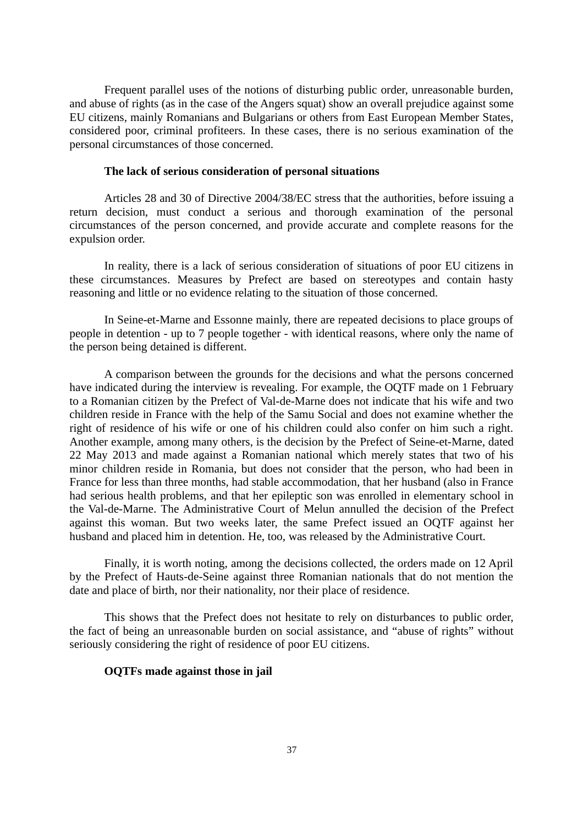Frequent parallel uses of the notions of disturbing public order, unreasonable burden, and abuse of rights (as in the case of the Angers squat) show an overall prejudice against some EU citizens, mainly Romanians and Bulgarians or others from East European Member States, considered poor, criminal profiteers. In these cases, there is no serious examination of the personal circumstances of those concerned.

# **The lack of serious consideration of personal situations**

Articles 28 and 30 of Directive 2004/38/EC stress that the authorities, before issuing a return decision, must conduct a serious and thorough examination of the personal circumstances of the person concerned, and provide accurate and complete reasons for the expulsion order.

In reality, there is a lack of serious consideration of situations of poor EU citizens in these circumstances. Measures by Prefect are based on stereotypes and contain hasty reasoning and little or no evidence relating to the situation of those concerned.

In Seine-et-Marne and Essonne mainly, there are repeated decisions to place groups of people in detention - up to 7 people together - with identical reasons, where only the name of the person being detained is different.

A comparison between the grounds for the decisions and what the persons concerned have indicated during the interview is revealing. For example, the OQTF made on 1 February to a Romanian citizen by the Prefect of Val-de-Marne does not indicate that his wife and two children reside in France with the help of the Samu Social and does not examine whether the right of residence of his wife or one of his children could also confer on him such a right. Another example, among many others, is the decision by the Prefect of Seine-et-Marne, dated 22 May 2013 and made against a Romanian national which merely states that two of his minor children reside in Romania, but does not consider that the person, who had been in France for less than three months, had stable accommodation, that her husband (also in France had serious health problems, and that her epileptic son was enrolled in elementary school in the Val-de-Marne. The Administrative Court of Melun annulled the decision of the Prefect against this woman. But two weeks later, the same Prefect issued an OQTF against her husband and placed him in detention. He, too, was released by the Administrative Court.

Finally, it is worth noting, among the decisions collected, the orders made on 12 April by the Prefect of Hauts-de-Seine against three Romanian nationals that do not mention the date and place of birth, nor their nationality, nor their place of residence.

This shows that the Prefect does not hesitate to rely on disturbances to public order, the fact of being an unreasonable burden on social assistance, and "abuse of rights" without seriously considering the right of residence of poor EU citizens.

## **OQTFs made against those in jail**